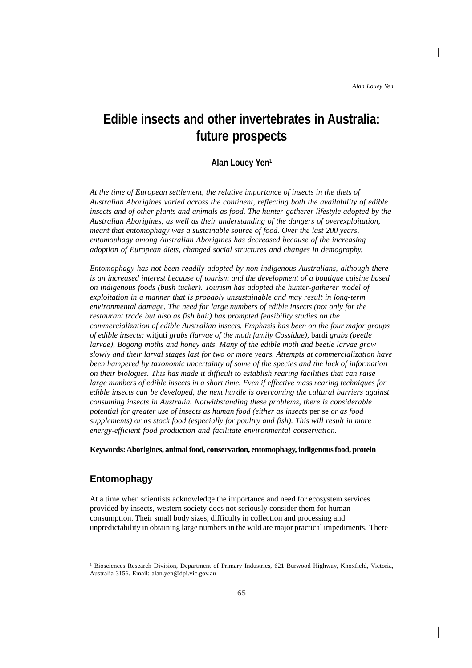# **Edible insects and other invertebrates in Australia: future prospects**

## **Alan Louey Yen1**

*At the time of European settlement, the relative importance of insects in the diets of Australian Aborigines varied across the continent, reflecting both the availability of edible insects and of other plants and animals as food. The hunter-gatherer lifestyle adopted by the Australian Aborigines, as well as their understanding of the dangers of overexploitation, meant that entomophagy was a sustainable source of food. Over the last 200 years, entomophagy among Australian Aborigines has decreased because of the increasing adoption of European diets, changed social structures and changes in demography.*

*Entomophagy has not been readily adopted by non-indigenous Australians, although there is an increased interest because of tourism and the development of a boutique cuisine based on indigenous foods (bush tucker). Tourism has adopted the hunter-gatherer model of exploitation in a manner that is probably unsustainable and may result in long-term environmental damage. The need for large numbers of edible insects (not only for the restaurant trade but also as fish bait) has prompted feasibility studies on the commercialization of edible Australian insects. Emphasis has been on the four major groups of edible insects:* witjuti *grubs (larvae of the moth family Cossidae),* bardi *grubs (beetle larvae), Bogong moths and honey ants. Many of the edible moth and beetle larvae grow slowly and their larval stages last for two or more years. Attempts at commercialization have been hampered by taxonomic uncertainty of some of the species and the lack of information on their biologies. This has made it difficult to establish rearing facilities that can raise large numbers of edible insects in a short time. Even if effective mass rearing techniques for edible insects can be developed, the next hurdle is overcoming the cultural barriers against consuming insects in Australia. Notwithstanding these problems, there is considerable potential for greater use of insects as human food (either as insects* per se *or as food supplements) or as stock food (especially for poultry and fish). This will result in more energy-efficient food production and facilitate environmental conservation.*

#### **Keywords: Aborigines, animal food, conservation, entomophagy, indigenous food, protein**

#### **Entomophagy**

At a time when scientists acknowledge the importance and need for ecosystem services provided by insects, western society does not seriously consider them for human consumption. Their small body sizes, difficulty in collection and processing and unpredictability in obtaining large numbers in the wild are major practical impediments.There

<sup>1</sup> Biosciences Research Division, Department of Primary Industries, 621 Burwood Highway, Knoxfield, Victoria, Australia 3156. Email: alan.yen@dpi.vic.gov.au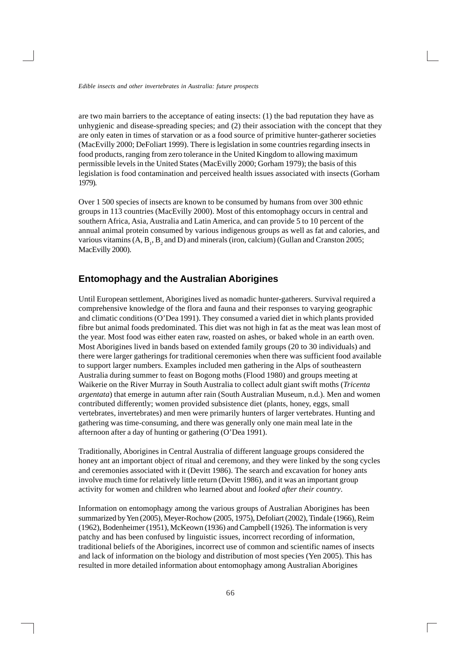*Edible insects and other invertebrates in Australia: future prospects*

are two main barriers to the acceptance of eating insects: (1) the bad reputation they have as unhygienic and disease-spreading species; and (2) their association with the concept that they are only eaten in times of starvation or as a food source of primitive hunter-gatherer societies (MacEvilly 2000; DeFoliart 1999). There is legislation in some countries regarding insects in food products, ranging from zero tolerance in the United Kingdom to allowing maximum permissible levels in the United States (MacEvilly 2000; Gorham 1979); the basis of this legislation is food contamination and perceived health issues associated with insects (Gorham 1979).

Over 1 500 species of insects are known to be consumed by humans from over 300 ethnic groups in 113 countries (MacEvilly 2000). Most of this entomophagy occurs in central and southern Africa, Asia, Australia and Latin America, and can provide 5 to 10 percent of the annual animal protein consumed by various indigenous groups as well as fat and calories, and various vitamins  $(A, B<sub>1</sub>, B<sub>2</sub>$  and D) and minerals (iron, calcium) (Gullan and Cranston 2005; MacEvilly 2000).

## **Entomophagy and the Australian Aborigines**

Until European settlement, Aborigines lived as nomadic hunter-gatherers. Survival required a comprehensive knowledge of the flora and fauna and their responses to varying geographic and climatic conditions (O'Dea 1991). They consumed a varied diet in which plants provided fibre but animal foods predominated. This diet was not high in fat as the meat was lean most of the year. Most food was either eaten raw, roasted on ashes, or baked whole in an earth oven. Most Aborigines lived in bands based on extended family groups (20 to 30 individuals) and there were larger gatherings for traditional ceremonies when there was sufficient food available to support larger numbers. Examples included men gathering in the Alps of southeastern Australia during summer to feast on Bogong moths (Flood 1980) and groups meeting at Waikerie on the River Murray in South Australia to collect adult giant swift moths (*Tricenta argentata*) that emerge in autumn after rain (South Australian Museum, n.d.). Men and women contributed differently; women provided subsistence diet (plants, honey, eggs, small vertebrates, invertebrates) and men were primarily hunters of larger vertebrates. Hunting and gathering was time-consuming, and there was generally only one main meal late in the afternoon after a day of hunting or gathering (O'Dea 1991).

Traditionally, Aborigines in Central Australia of different language groups considered the honey ant an important object of ritual and ceremony, and they were linked by the song cycles and ceremonies associated with it (Devitt 1986). The search and excavation for honey ants involve much time for relatively little return (Devitt 1986), and it was an important group activity for women and children who learned about and *looked after their country*.

Information on entomophagy among the various groups of Australian Aborigines has been summarized by Yen (2005), Meyer-Rochow (2005, 1975), Defoliart (2002), Tindale (1966), Reim (1962), Bodenheimer (1951), McKeown (1936) and Campbell (1926). The information is very patchy and has been confused by linguistic issues, incorrect recording of information, traditional beliefs of the Aborigines, incorrect use of common and scientific names of insects and lack of information on the biology and distribution of most species (Yen 2005). This has resulted in more detailed information about entomophagy among Australian Aborigines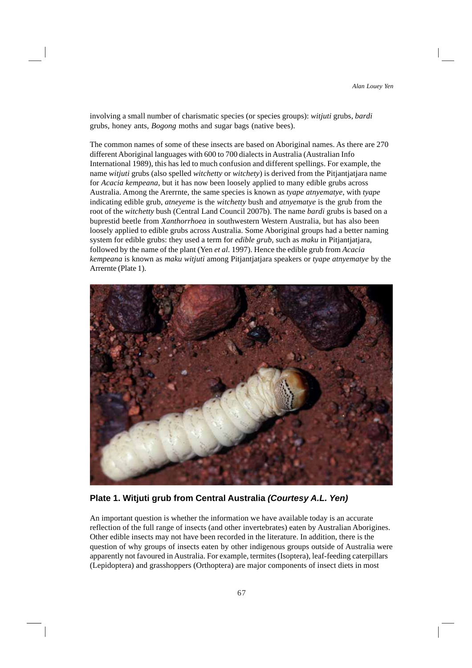involving a small number of charismatic species (or species groups): *witjuti* grubs, *bardi* grubs, honey ants, *Bogong* moths and sugar bags (native bees).

The common names of some of these insects are based on Aboriginal names. As there are 270 different Aboriginal languages with 600 to 700 dialects in Australia (Australian Info International 1989), this has led to much confusion and different spellings. For example, the name *witjuti* grubs (also spelled *witchetty* or *witchety*) is derived from the Pitjantjatjara name for *Acacia kempeana*, but it has now been loosely applied to many edible grubs across Australia. Among the Arerrnte, the same species is known as *tyape atnyematye*, with *tyape* indicating edible grub, *atneyeme* is the *witchetty* bush and *atnyematye* is the grub from the root of the *witchetty* bush (Central Land Council 2007b). The name *bardi* grubs is based on a buprestid beetle from *Xanthorrhoea* in southwestern Western Australia, but has also been loosely applied to edible grubs across Australia. Some Aboriginal groups had a better naming system for edible grubs: they used a term for *edible grub*, such as *maku* in Pitjantjatjara, followed by the name of the plant (Yen *et al.* 1997). Hence the edible grub from *Acacia kempeana* is known as *maku witjuti* among Pitjantjatjara speakers or *tyape atnyematye* by the Arrernte (Plate 1).



**Plate 1. Witjuti grub from Central Australia** *(Courtesy A.L. Yen)*

An important question is whether the information we have available today is an accurate reflection of the full range of insects (and other invertebrates) eaten by Australian Aborigines. Other edible insects may not have been recorded in the literature. In addition, there is the question of why groups of insects eaten by other indigenous groups outside of Australia were apparently not favoured in Australia. For example, termites (Isoptera), leaf-feeding caterpillars (Lepidoptera) and grasshoppers (Orthoptera) are major components of insect diets in most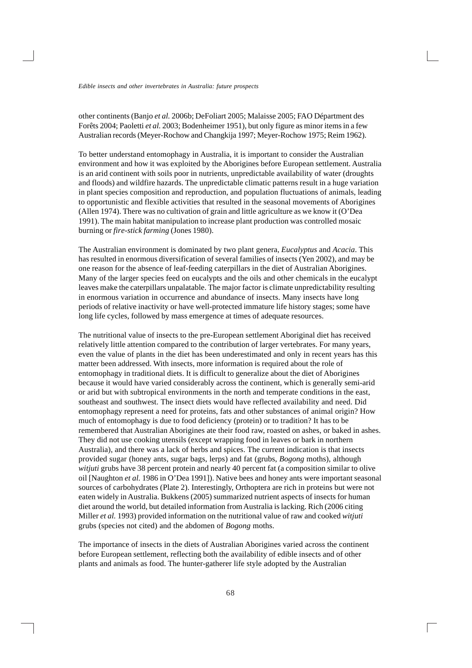*Edible insects and other invertebrates in Australia: future prospects*

other continents (Banjo *et al.* 2006b; DeFoliart 2005; Malaisse 2005; FAO Départment des Forêts 2004; Paoletti *et al.* 2003; Bodenheimer 1951), but only figure as minor items in a few Australian records (Meyer-Rochow and Changkija 1997; Meyer-Rochow 1975; Reim 1962).

To better understand entomophagy in Australia, it is important to consider the Australian environment and how it was exploited by the Aborigines before European settlement. Australia is an arid continent with soils poor in nutrients, unpredictable availability of water (droughts and floods) and wildfire hazards. The unpredictable climatic patterns result in a huge variation in plant species composition and reproduction, and population fluctuations of animals, leading to opportunistic and flexible activities that resulted in the seasonal movements of Aborigines (Allen 1974). There was no cultivation of grain and little agriculture as we know it (O'Dea 1991). The main habitat manipulation to increase plant production was controlled mosaic burning or *fire-stick farming* (Jones 1980).

The Australian environment is dominated by two plant genera, *Eucalyptus* and *Acacia*. This has resulted in enormous diversification of several families of insects (Yen 2002), and may be one reason for the absence of leaf-feeding caterpillars in the diet of Australian Aborigines. Many of the larger species feed on eucalypts and the oils and other chemicals in the eucalypt leaves make the caterpillars unpalatable. The major factor is climate unpredictability resulting in enormous variation in occurrence and abundance of insects. Many insects have long periods of relative inactivity or have well-protected immature life history stages; some have long life cycles, followed by mass emergence at times of adequate resources.

The nutritional value of insects to the pre-European settlement Aboriginal diet has received relatively little attention compared to the contribution of larger vertebrates. For many years, even the value of plants in the diet has been underestimated and only in recent years has this matter been addressed. With insects, more information is required about the role of entomophagy in traditional diets. It is difficult to generalize about the diet of Aborigines because it would have varied considerably across the continent, which is generally semi-arid or arid but with subtropical environments in the north and temperate conditions in the east, southeast and southwest. The insect diets would have reflected availability and need. Did entomophagy represent a need for proteins, fats and other substances of animal origin? How much of entomophagy is due to food deficiency (protein) or to tradition? It has to be remembered that Australian Aborigines ate their food raw, roasted on ashes, or baked in ashes. They did not use cooking utensils (except wrapping food in leaves or bark in northern Australia), and there was a lack of herbs and spices. The current indication is that insects provided sugar (honey ants, sugar bags, lerps) and fat (grubs, *Bogong* moths), although *witjuti* grubs have 38 percent protein and nearly 40 percent fat (a composition similar to olive oil [Naughton *et al.* 1986 in O'Dea 1991]). Native bees and honey ants were important seasonal sources of carbohydrates (Plate 2). Interestingly, Orthoptera are rich in proteins but were not eaten widely in Australia. Bukkens (2005) summarized nutrient aspects of insects for human diet around the world, but detailed information from Australia is lacking. Rich (2006 citing Miller *et al.* 1993) provided information on the nutritional value of raw and cooked *witjuti* grubs (species not cited) and the abdomen of *Bogong* moths.

The importance of insects in the diets of Australian Aborigines varied across the continent before European settlement, reflecting both the availability of edible insects and of other plants and animals as food. The hunter-gatherer life style adopted by the Australian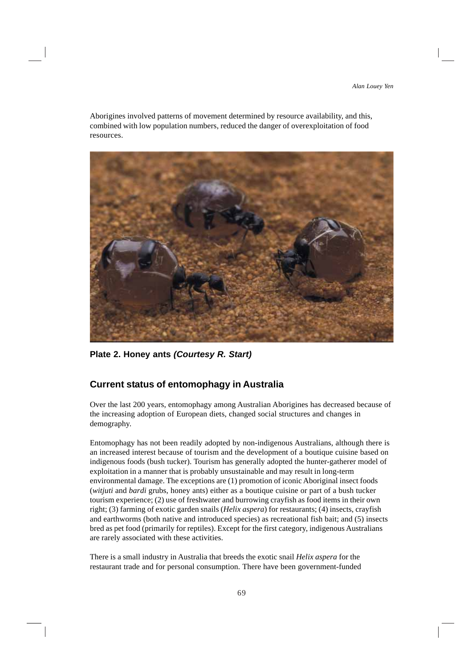Aborigines involved patterns of movement determined by resource availability, and this, combined with low population numbers, reduced the danger of overexploitation of food resources.



**Plate 2. Honey ants** *(Courtesy R. Start)*

## **Current status of entomophagy in Australia**

Over the last 200 years, entomophagy among Australian Aborigines has decreased because of the increasing adoption of European diets, changed social structures and changes in demography.

Entomophagy has not been readily adopted by non-indigenous Australians, although there is an increased interest because of tourism and the development of a boutique cuisine based on indigenous foods (bush tucker). Tourism has generally adopted the hunter-gatherer model of exploitation in a manner that is probably unsustainable and may result in long-term environmental damage. The exceptions are (1) promotion of iconic Aboriginal insect foods (*witjuti* and *bardi* grubs, honey ants) either as a boutique cuisine or part of a bush tucker tourism experience; (2) use of freshwater and burrowing crayfish as food items in their own right; (3) farming of exotic garden snails (*Helix aspera*) for restaurants; (4) insects, crayfish and earthworms (both native and introduced species) as recreational fish bait; and (5) insects bred as pet food (primarily for reptiles). Except for the first category, indigenous Australians are rarely associated with these activities.

There is a small industry in Australia that breeds the exotic snail *Helix aspera* for the restaurant trade and for personal consumption. There have been government-funded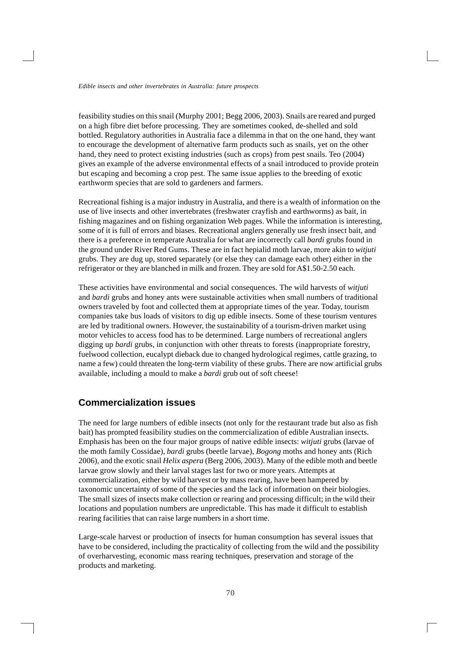*Edible insects and other invertebrates in Australia: future prospects*

feasibility studies on this snail (Murphy 2001; Begg 2006, 2003). Snails are reared and purged on a high fibre diet before processing. They are sometimes cooked, de-shelled and sold bottled. Regulatory authorities in Australia face a dilemma in that on the one hand, they want to encourage the development of alternative farm products such as snails, yet on the other hand, they need to protect existing industries (such as crops) from pest snails. Teo (2004) gives an example of the adverse environmental effects of a snail introduced to provide protein but escaping and becoming a crop pest. The same issue applies to the breeding of exotic earthworm species that are sold to gardeners and farmers.

Recreational fishing is a major industry in Australia, and there is a wealth of information on the use of live insects and other invertebrates (freshwater crayfish and earthworms) as bait, in fishing magazines and on fishing organization Web pages. While the information is interesting, some of it is full of errors and biases. Recreational anglers generally use fresh insect bait, and there is a preference in temperate Australia for what are incorrectly call *bardi* grubs found in the ground under River Red Gums. These are in fact hepialid moth larvae, more akin to *witjuti* grubs. They are dug up, stored separately (or else they can damage each other) either in the refrigerator or they are blanched in milk and frozen. They are sold for A\$1.50-2.50 each.

These activities have environmental and social consequences. The wild harvests of *witjuti* and *bardi* grubs and honey ants were sustainable activities when small numbers of traditional owners traveled by foot and collected them at appropriate times of the year. Today, tourism companies take bus loads of visitors to dig up edible insects. Some of these tourism ventures are led by traditional owners. However, the sustainability of a tourism-driven market using motor vehicles to access food has to be determined. Large numbers of recreational anglers digging up *bardi* grubs, in conjunction with other threats to forests (inappropriate forestry, fuelwood collection, eucalypt dieback due to changed hydrological regimes, cattle grazing, to name a few) could threaten the long-term viability of these grubs. There are now artificial grubs available, including a mould to make a *bardi* grub out of soft cheese!

#### **Commercialization issues**

The need for large numbers of edible insects (not only for the restaurant trade but also as fish bait) has prompted feasibility studies on the commercialization of edible Australian insects. Emphasis has been on the four major groups of native edible insects: *witjuti* grubs (larvae of the moth family Cossidae), *bardi* grubs (beetle larvae), *Bogong* moths and honey ants (Rich 2006), and the exotic snail *Helix aspera* (Berg 2006, 2003). Many of the edible moth and beetle larvae grow slowly and their larval stages last for two or more years. Attempts at commercialization, either by wild harvest or by mass rearing, have been hampered by taxonomic uncertainty of some of the species and the lack of information on their biologies. The small sizes of insects make collection or rearing and processing difficult; in the wild their locations and population numbers are unpredictable. This has made it difficult to establish rearing facilities that can raise large numbers in a short time.

Large-scale harvest or production of insects for human consumption has several issues that have to be considered, including the practicality of collecting from the wild and the possibility of overharvesting, economic mass rearing techniques, preservation and storage of the products and marketing.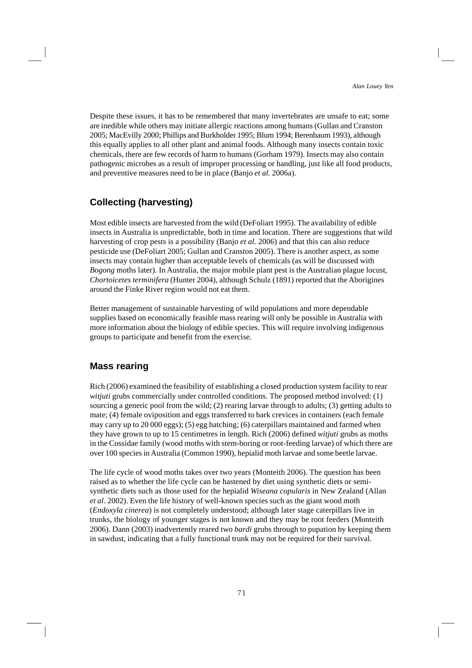Despite these issues, it has to be remembered that many invertebrates are unsafe to eat; some are inedible while others may initiate allergic reactions among humans (Gullan and Cranston 2005; MacEvilly 2000; Phillips and Burkholder 1995; Blum 1994; Berenbaum 1993), although this equally applies to all other plant and animal foods. Although many insects contain toxic chemicals, there are few records of harm to humans (Gorham 1979). Insects may also contain pathogenic microbes as a result of improper processing or handling, just like all food products, and preventive measures need to be in place (Banjo *et al.* 2006a).

## **Collecting (harvesting)**

Most edible insects are harvested from the wild (DeFoliart 1995). The availability of edible insects in Australia is unpredictable, both in time and location. There are suggestions that wild harvesting of crop pests is a possibility (Banjo *et al.* 2006) and that this can also reduce pesticide use (DeFoliart 2005; Gullan and Cranston 2005). There is another aspect, as some insects may contain higher than acceptable levels of chemicals (as will be discussed with *Bogong* moths later). In Australia, the major mobile plant pest is the Australian plague locust, *Chortoicetes terminifera* (Hunter 2004), although Schulz (1891) reported that the Aborigines around the Finke River region would not eat them.

Better management of sustainable harvesting of wild populations and more dependable supplies based on economically feasible mass rearing will only be possible in Australia with more information about the biology of edible species. This will require involving indigenous groups to participate and benefit from the exercise.

#### **Mass rearing**

Rich (2006) examined the feasibility of establishing a closed production system facility to rear *witjuti* grubs commercially under controlled conditions. The proposed method involved: (1) sourcing a generic pool from the wild; (2) rearing larvae through to adults; (3) getting adults to mate; (4) female oviposition and eggs transferred to bark crevices in containers (each female may carry up to 20 000 eggs); (5) egg hatching; (6) caterpillars maintained and farmed when they have grown to up to 15 centimetres in length. Rich (2006) defined *witjuti* grubs as moths in the Cossidae family (wood moths with stem-boring or root-feeding larvae) of which there are over 100 species in Australia (Common 1990), hepialid moth larvae and some beetle larvae.

The life cycle of wood moths takes over two years (Monteith 2006). The question has been raised as to whether the life cycle can be hastened by diet using synthetic diets or semisynthetic diets such as those used for the hepialid *Wiseana copularis* in New Zealand (Allan *et al*. 2002). Even the life history of well-known species such as the giant wood moth (*Endoxyla cinerea*) is not completely understood; although later stage caterpillars live in trunks, the biology of younger stages is not known and they may be root feeders (Monteith 2006). Dann (2003) inadvertently reared two *bardi* grubs through to pupation by keeping them in sawdust, indicating that a fully functional trunk may not be required for their survival.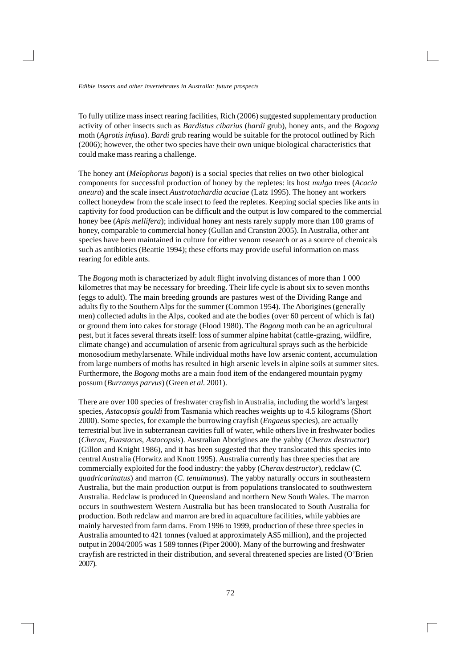*Edible insects and other invertebrates in Australia: future prospects*

To fully utilize mass insect rearing facilities, Rich (2006) suggested supplementary production activity of other insects such as *Bardistus cibarius* (*bardi* grub), honey ants, and the *Bogong* moth (*Agrotis infusa*). *Bardi* grub rearing would be suitable for the protocol outlined by Rich (2006); however, the other two species have their own unique biological characteristics that could make mass rearing a challenge.

The honey ant (*Melophorus bagoti*) is a social species that relies on two other biological components for successful production of honey by the repletes: its host *mulga* trees (*Acacia aneura*) and the scale insect *Austrotachardia acaciae* (Latz 1995). The honey ant workers collect honeydew from the scale insect to feed the repletes. Keeping social species like ants in captivity for food production can be difficult and the output is low compared to the commercial honey bee (*Apis mellifera*); individual honey ant nests rarely supply more than 100 grams of honey, comparable to commercial honey (Gullan and Cranston 2005). In Australia, other ant species have been maintained in culture for either venom research or as a source of chemicals such as antibiotics (Beattie 1994); these efforts may provide useful information on mass rearing for edible ants.

The *Bogong* moth is characterized by adult flight involving distances of more than 1 000 kilometres that may be necessary for breeding. Their life cycle is about six to seven months (eggs to adult). The main breeding grounds are pastures west of the Dividing Range and adults fly to the Southern Alps for the summer (Common 1954). The Aborigines (generally men) collected adults in the Alps, cooked and ate the bodies (over 60 percent of which is fat) or ground them into cakes for storage (Flood 1980). The *Bogong* moth can be an agricultural pest, but it faces several threats itself: loss of summer alpine habitat (cattle-grazing, wildfire, climate change) and accumulation of arsenic from agricultural sprays such as the herbicide monosodium methylarsenate. While individual moths have low arsenic content, accumulation from large numbers of moths has resulted in high arsenic levels in alpine soils at summer sites. Furthermore, the *Bogong* moths are a main food item of the endangered mountain pygmy possum (*Burramys parvus*) (Green *et al.* 2001).

There are over 100 species of freshwater crayfish in Australia, including the world's largest species, *Astacopsis gouldi* from Tasmania which reaches weights up to 4.5 kilograms (Short 2000). Some species, for example the burrowing crayfish (*Engaeus* species), are actually terrestrial but live in subterranean cavities full of water, while others live in freshwater bodies (*Cherax, Euastacus*, *Astacopsis*). Australian Aborigines ate the yabby (*Cherax destructor*) (Gillon and Knight 1986), and it has been suggested that they translocated this species into central Australia (Horwitz and Knott 1995). Australia currently has three species that are commercially exploited for the food industry: the yabby (*Cherax destructor*), redclaw (*C. quadricarinatus*) and marron (*C. tenuimanus*). The yabby naturally occurs in southeastern Australia, but the main production output is from populations translocated to southwestern Australia. Redclaw is produced in Queensland and northern New South Wales. The marron occurs in southwestern Western Australia but has been translocated to South Australia for production. Both redclaw and marron are bred in aquaculture facilities, while yabbies are mainly harvested from farm dams. From 1996 to 1999, production of these three species in Australia amounted to 421 tonnes (valued at approximately A\$5 million), and the projected output in 2004/2005 was 1 589 tonnes (Piper 2000). Many of the burrowing and freshwater crayfish are restricted in their distribution, and several threatened species are listed (O'Brien 2007).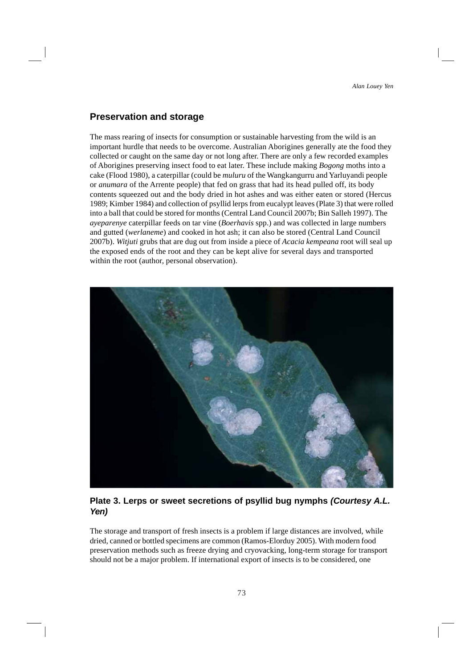*Alan Louey Yen*

## **Preservation and storage**

The mass rearing of insects for consumption or sustainable harvesting from the wild is an important hurdle that needs to be overcome. Australian Aborigines generally ate the food they collected or caught on the same day or not long after. There are only a few recorded examples of Aborigines preserving insect food to eat later. These include making *Bogong* moths into a cake (Flood 1980), a caterpillar (could be *muluru* of the Wangkangurru and Yarluyandi people or *anumara* of the Arrente people) that fed on grass that had its head pulled off, its body contents squeezed out and the body dried in hot ashes and was either eaten or stored (Hercus 1989; Kimber 1984) and collection of psyllid lerps from eucalypt leaves (Plate 3) that were rolled into a ball that could be stored for months (Central Land Council 2007b; Bin Salleh 1997). The *ayeparenye* caterpillar feeds on tar vine (*Boerhavis* spp.) and was collected in large numbers and gutted (*werlaneme*) and cooked in hot ash; it can also be stored (Central Land Council 2007b). *Witjuti* grubs that are dug out from inside a piece of *Acacia kempeana* root will seal up the exposed ends of the root and they can be kept alive for several days and transported within the root (author, personal observation).



**Plate 3. Lerps or sweet secretions of psyllid bug nymphs** *(Courtesy A.L. Yen)*

The storage and transport of fresh insects is a problem if large distances are involved, while dried, canned or bottled specimens are common (Ramos-Elorduy 2005). With modern food preservation methods such as freeze drying and cryovacking, long-term storage for transport should not be a major problem. If international export of insects is to be considered, one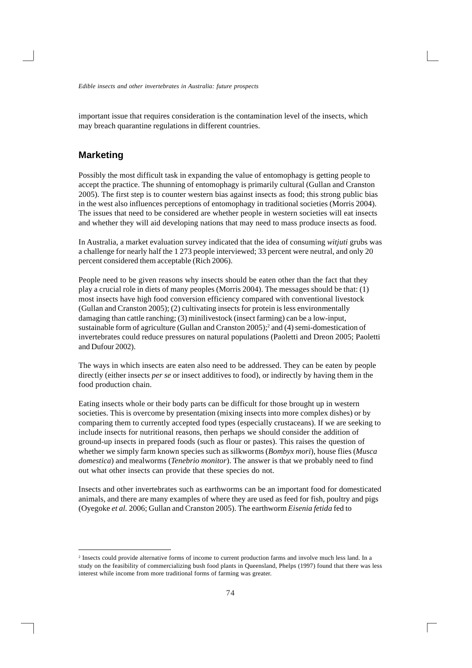*Edible insects and other invertebrates in Australia: future prospects*

important issue that requires consideration is the contamination level of the insects, which may breach quarantine regulations in different countries.

## **Marketing**

Possibly the most difficult task in expanding the value of entomophagy is getting people to accept the practice. The shunning of entomophagy is primarily cultural (Gullan and Cranston 2005). The first step is to counter western bias against insects as food; this strong public bias in the west also influences perceptions of entomophagy in traditional societies (Morris 2004). The issues that need to be considered are whether people in western societies will eat insects and whether they will aid developing nations that may need to mass produce insects as food.

In Australia, a market evaluation survey indicated that the idea of consuming *witjuti* grubs was a challenge for nearly half the 1 273 people interviewed; 33 percent were neutral, and only 20 percent considered them acceptable (Rich 2006).

People need to be given reasons why insects should be eaten other than the fact that they play a crucial role in diets of many peoples (Morris 2004). The messages should be that: (1) most insects have high food conversion efficiency compared with conventional livestock (Gullan and Cranston 2005); (2) cultivating insects for protein is less environmentally damaging than cattle ranching; (3) minilivestock (insect farming) can be a low-input, sustainable form of agriculture (Gullan and Cranston 2005);<sup>2</sup> and (4) semi-domestication of invertebrates could reduce pressures on natural populations (Paoletti and Dreon 2005; Paoletti and Dufour 2002).

The ways in which insects are eaten also need to be addressed. They can be eaten by people directly (either insects *per se* or insect additives to food), or indirectly by having them in the food production chain.

Eating insects whole or their body parts can be difficult for those brought up in western societies. This is overcome by presentation (mixing insects into more complex dishes) or by comparing them to currently accepted food types (especially crustaceans). If we are seeking to include insects for nutritional reasons, then perhaps we should consider the addition of ground-up insects in prepared foods (such as flour or pastes). This raises the question of whether we simply farm known species such as silkworms (*Bombyx mori*), house flies (*Musca domestica*) and mealworms (*Tenebrio monitor*). The answer is that we probably need to find out what other insects can provide that these species do not.

Insects and other invertebrates such as earthworms can be an important food for domesticated animals, and there are many examples of where they are used as feed for fish, poultry and pigs (Oyegoke *et al.* 2006; Gullan and Cranston 2005). The earthworm *Eisenia fetida* fed to

<sup>&</sup>lt;sup>2</sup> Insects could provide alternative forms of income to current production farms and involve much less land. In a study on the feasibility of commercializing bush food plants in Queensland, Phelps (1997) found that there was less interest while income from more traditional forms of farming was greater.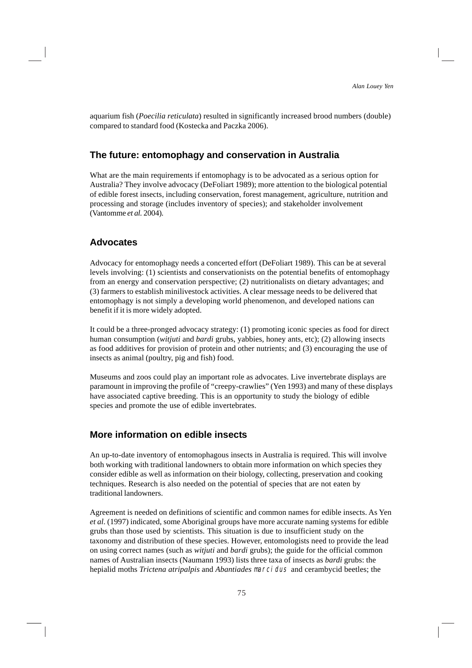aquarium fish (*Poecilia reticulata*) resulted in significantly increased brood numbers (double) compared to standard food (Kostecka and Paczka 2006).

### **The future: entomophagy and conservation in Australia**

What are the main requirements if entomophagy is to be advocated as a serious option for Australia? They involve advocacy (DeFoliart 1989); more attention to the biological potential of edible forest insects, including conservation, forest management, agriculture, nutrition and processing and storage (includes inventory of species); and stakeholder involvement (Vantomme *et al.* 2004).

#### **Advocates**

Advocacy for entomophagy needs a concerted effort (DeFoliart 1989). This can be at several levels involving: (1) scientists and conservationists on the potential benefits of entomophagy from an energy and conservation perspective; (2) nutritionalists on dietary advantages; and (3) farmers to establish minilivestock activities. A clear message needs to be delivered that entomophagy is not simply a developing world phenomenon, and developed nations can benefit if it is more widely adopted.

It could be a three-pronged advocacy strategy: (1) promoting iconic species as food for direct human consumption (*witjuti* and *bardi* grubs, yabbies, honey ants, etc); (2) allowing insects as food additives for provision of protein and other nutrients; and (3) encouraging the use of insects as animal (poultry, pig and fish) food.

Museums and zoos could play an important role as advocates. Live invertebrate displays are paramount in improving the profile of "creepy-crawlies" (Yen 1993) and many of these displays have associated captive breeding. This is an opportunity to study the biology of edible species and promote the use of edible invertebrates.

## **More information on edible insects**

An up-to-date inventory of entomophagous insects in Australia is required. This will involve both working with traditional landowners to obtain more information on which species they consider edible as well as information on their biology, collecting, preservation and cooking techniques. Research is also needed on the potential of species that are not eaten by traditional landowners.

Agreement is needed on definitions of scientific and common names for edible insects. As Yen *et al.* (1997) indicated, some Aboriginal groups have more accurate naming systems for edible grubs than those used by scientists. This situation is due to insufficient study on the taxonomy and distribution of these species. However, entomologists need to provide the lead on using correct names (such as *witjuti* and *bardi* grubs); the guide for the official common names of Australian insects (Naumann 1993) lists three taxa of insects as *bardi* grubs: the hepialid moths *Trictena atripalpis* and *Abantiades* marcidus and cerambycid beetles; the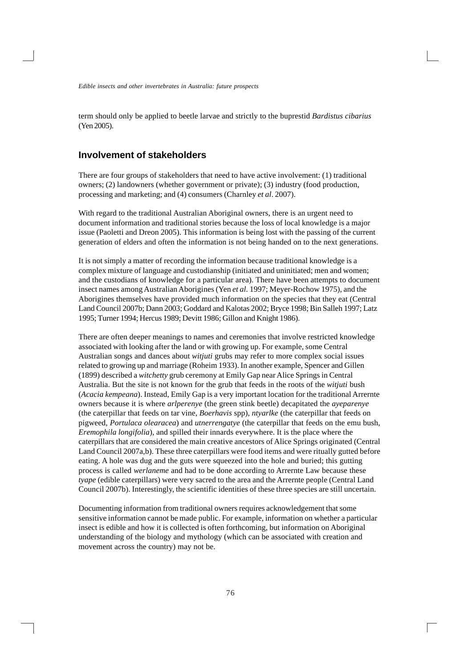*Edible insects and other invertebrates in Australia: future prospects*

term should only be applied to beetle larvae and strictly to the buprestid *Bardistus cibarius* (Yen 2005).

#### **Involvement of stakeholders**

There are four groups of stakeholders that need to have active involvement: (1) traditional owners; (2) landowners (whether government or private); (3) industry (food production, processing and marketing; and (4) consumers (Charnley *et al*. 2007).

With regard to the traditional Australian Aboriginal owners, there is an urgent need to document information and traditional stories because the loss of local knowledge is a major issue (Paoletti and Dreon 2005). This information is being lost with the passing of the current generation of elders and often the information is not being handed on to the next generations.

It is not simply a matter of recording the information because traditional knowledge is a complex mixture of language and custodianship (initiated and uninitiated; men and women; and the custodians of knowledge for a particular area). There have been attempts to document insect names among Australian Aborigines (Yen *et al.* 1997; Meyer-Rochow 1975), and the Aborigines themselves have provided much information on the species that they eat (Central Land Council 2007b; Dann 2003; Goddard and Kalotas 2002; Bryce 1998; Bin Salleh 1997; Latz 1995; Turner 1994; Hercus 1989; Devitt 1986; Gillon and Knight 1986).

There are often deeper meanings to names and ceremonies that involve restricted knowledge associated with looking after the land or with growing up. For example, some Central Australian songs and dances about *witjuti* grubs may refer to more complex social issues related to growing up and marriage (Roheim 1933). In another example, Spencer and Gillen (1899) described a *witchetty* grub ceremony at Emily Gap near Alice Springs in Central Australia. But the site is not known for the grub that feeds in the roots of the *witjuti* bush (*Acacia kempeana*). Instead, Emily Gap is a very important location for the traditional Arrernte owners because it is where *arlperenye* (the green stink beetle) decapitated the *ayeparenye* (the caterpillar that feeds on tar vine, *Boerhavis* spp), *ntyarlke* (the caterpillar that feeds on pigweed, *Portulaca olearacea*) and *utnerrengatye* (the caterpillar that feeds on the emu bush, *Eremophila longifolia*), and spilled their innards everywhere. It is the place where the caterpillars that are considered the main creative ancestors of Alice Springs originated (Central Land Council 2007a,b). These three caterpillars were food items and were ritually gutted before eating. A hole was dug and the guts were squeezed into the hole and buried; this gutting process is called *werlaneme* and had to be done according to Arrernte Law because these *tyape* (edible caterpillars) were very sacred to the area and the Arrernte people (Central Land Council 2007b). Interestingly, the scientific identities of these three species are still uncertain.

Documenting information from traditional owners requires acknowledgement that some sensitive information cannot be made public. For example, information on whether a particular insect is edible and how it is collected is often forthcoming, but information on Aboriginal understanding of the biology and mythology (which can be associated with creation and movement across the country) may not be.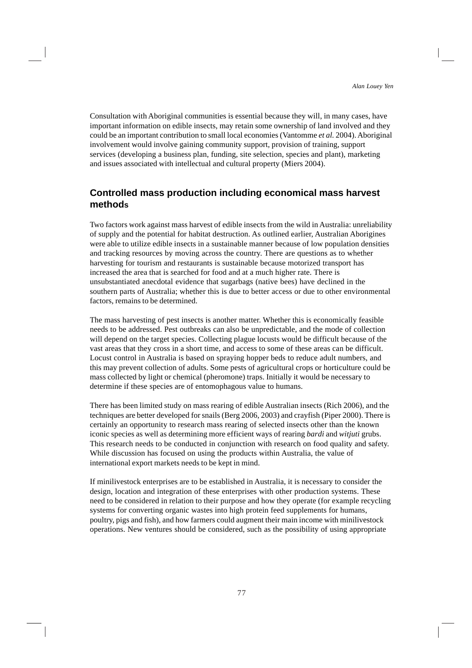Consultation with Aboriginal communities is essential because they will, in many cases, have important information on edible insects, may retain some ownership of land involved and they could be an important contribution to small local economies (Vantomme *et al.* 2004). Aboriginal involvement would involve gaining community support, provision of training, support services (developing a business plan, funding, site selection, species and plant), marketing and issues associated with intellectual and cultural property (Miers 2004).

## **Controlled mass production including economical mass harvest methods**

Two factors work against mass harvest of edible insects from the wild in Australia: unreliability of supply and the potential for habitat destruction. As outlined earlier, Australian Aborigines were able to utilize edible insects in a sustainable manner because of low population densities and tracking resources by moving across the country. There are questions as to whether harvesting for tourism and restaurants is sustainable because motorized transport has increased the area that is searched for food and at a much higher rate. There is unsubstantiated anecdotal evidence that sugarbags (native bees) have declined in the southern parts of Australia; whether this is due to better access or due to other environmental factors, remains to be determined.

The mass harvesting of pest insects is another matter. Whether this is economically feasible needs to be addressed. Pest outbreaks can also be unpredictable, and the mode of collection will depend on the target species. Collecting plague locusts would be difficult because of the vast areas that they cross in a short time, and access to some of these areas can be difficult. Locust control in Australia is based on spraying hopper beds to reduce adult numbers, and this may prevent collection of adults. Some pests of agricultural crops or horticulture could be mass collected by light or chemical (pheromone) traps. Initially it would be necessary to determine if these species are of entomophagous value to humans.

There has been limited study on mass rearing of edible Australian insects (Rich 2006), and the techniques are better developed for snails (Berg 2006, 2003) and crayfish (Piper 2000). There is certainly an opportunity to research mass rearing of selected insects other than the known iconic species as well as determining more efficient ways of rearing *bardi* and *witjuti* grubs. This research needs to be conducted in conjunction with research on food quality and safety. While discussion has focused on using the products within Australia, the value of international export markets needs to be kept in mind.

If minilivestock enterprises are to be established in Australia, it is necessary to consider the design, location and integration of these enterprises with other production systems. These need to be considered in relation to their purpose and how they operate (for example recycling systems for converting organic wastes into high protein feed supplements for humans, poultry, pigs and fish), and how farmers could augment their main income with minilivestock operations. New ventures should be considered, such as the possibility of using appropriate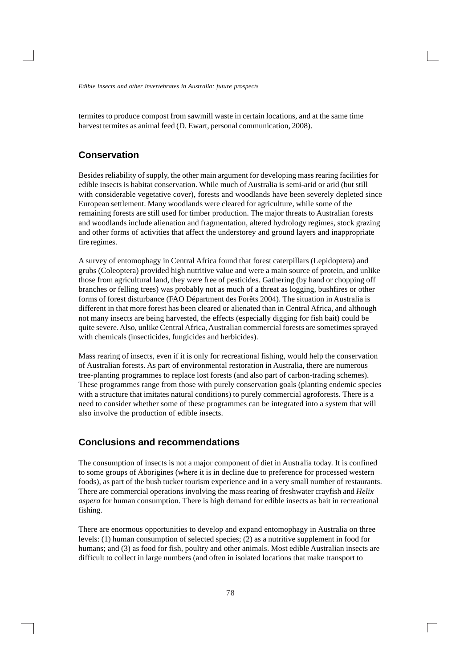*Edible insects and other invertebrates in Australia: future prospects*

termites to produce compost from sawmill waste in certain locations, and at the same time harvest termites as animal feed (D. Ewart, personal communication, 2008).

## **Conservation**

Besides reliability of supply, the other main argument for developing mass rearing facilities for edible insects is habitat conservation. While much of Australia is semi-arid or arid (but still with considerable vegetative cover), forests and woodlands have been severely depleted since European settlement. Many woodlands were cleared for agriculture, while some of the remaining forests are still used for timber production. The major threats to Australian forests and woodlands include alienation and fragmentation, altered hydrology regimes, stock grazing and other forms of activities that affect the understorey and ground layers and inappropriate fire regimes.

A survey of entomophagy in Central Africa found that forest caterpillars (Lepidoptera) and grubs (Coleoptera) provided high nutritive value and were a main source of protein, and unlike those from agricultural land, they were free of pesticides. Gathering (by hand or chopping off branches or felling trees) was probably not as much of a threat as logging, bushfires or other forms of forest disturbance (FAO Départment des Forêts 2004). The situation in Australia is different in that more forest has been cleared or alienated than in Central Africa, and although not many insects are being harvested, the effects (especially digging for fish bait) could be quite severe. Also, unlike Central Africa, Australian commercial forests are sometimes sprayed with chemicals (insecticides, fungicides and herbicides).

Mass rearing of insects, even if it is only for recreational fishing, would help the conservation of Australian forests. As part of environmental restoration in Australia, there are numerous tree-planting programmes to replace lost forests (and also part of carbon-trading schemes). These programmes range from those with purely conservation goals (planting endemic species with a structure that imitates natural conditions) to purely commercial agroforests. There is a need to consider whether some of these programmes can be integrated into a system that will also involve the production of edible insects.

#### **Conclusions and recommendations**

The consumption of insects is not a major component of diet in Australia today. It is confined to some groups of Aborigines (where it is in decline due to preference for processed western foods), as part of the bush tucker tourism experience and in a very small number of restaurants. There are commercial operations involving the mass rearing of freshwater crayfish and *Helix aspera* for human consumption. There is high demand for edible insects as bait in recreational fishing.

There are enormous opportunities to develop and expand entomophagy in Australia on three levels: (1) human consumption of selected species; (2) as a nutritive supplement in food for humans; and (3) as food for fish, poultry and other animals. Most edible Australian insects are difficult to collect in large numbers (and often in isolated locations that make transport to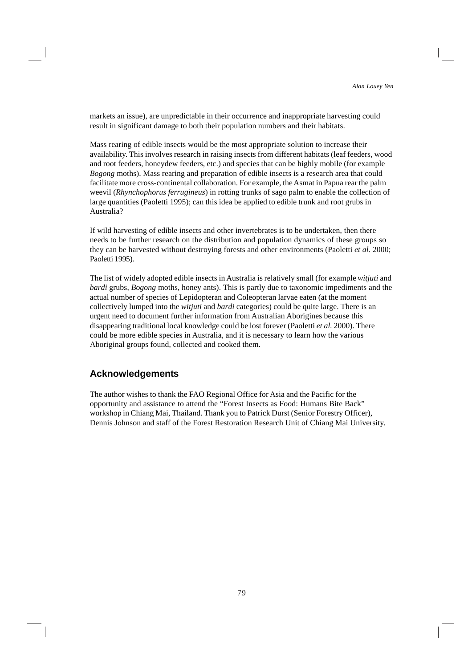markets an issue), are unpredictable in their occurrence and inappropriate harvesting could result in significant damage to both their population numbers and their habitats.

Mass rearing of edible insects would be the most appropriate solution to increase their availability. This involves research in raising insects from different habitats (leaf feeders, wood and root feeders, honeydew feeders, etc.) and species that can be highly mobile (for example *Bogong* moths). Mass rearing and preparation of edible insects is a research area that could facilitate more cross-continental collaboration. For example, the Asmat in Papua rear the palm weevil (*Rhynchophorus ferrugineus*) in rotting trunks of sago palm to enable the collection of large quantities (Paoletti 1995); can this idea be applied to edible trunk and root grubs in Australia?

If wild harvesting of edible insects and other invertebrates is to be undertaken, then there needs to be further research on the distribution and population dynamics of these groups so they can be harvested without destroying forests and other environments (Paoletti *et al.* 2000; Paoletti 1995).

The list of widely adopted edible insects in Australia is relatively small (for example *witjuti* and *bardi* grubs, *Bogong* moths, honey ants). This is partly due to taxonomic impediments and the actual number of species of Lepidopteran and Coleopteran larvae eaten (at the moment collectively lumped into the *witjuti* and *bardi* categories) could be quite large. There is an urgent need to document further information from Australian Aborigines because this disappearing traditional local knowledge could be lost forever (Paoletti *et al.* 2000). There could be more edible species in Australia, and it is necessary to learn how the various Aboriginal groups found, collected and cooked them.

#### **Acknowledgements**

The author wishes to thank the FAO Regional Office for Asia and the Pacific for the opportunity and assistance to attend the "Forest Insects as Food: Humans Bite Back" workshop in Chiang Mai, Thailand. Thank you to Patrick Durst (Senior Forestry Officer), Dennis Johnson and staff of the Forest Restoration Research Unit of Chiang Mai University.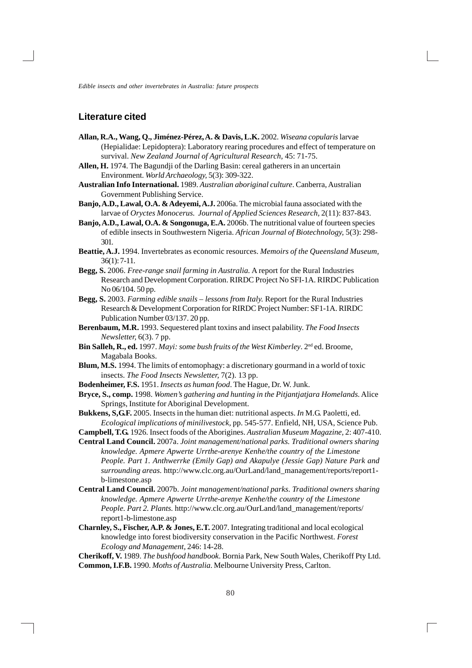*Edible insects and other invertebrates in Australia: future prospects*

## **Literature cited**

- **Allan, R.A., Wang, Q., Jiménez-Pérez, A. & Davis, L.K.** 2002. *Wiseana copularis* larvae (Hepialidae: Lepidoptera): Laboratory rearing procedures and effect of temperature on survival. *New Zealand Journal of Agricultural Research,* 45: 71-75.
- **Allen, H.** 1974. The Bagundji of the Darling Basin: cereal gatherers in an uncertain Environment. *World Archaeology,* 5(3): 309-322.
- **Australian Info International.** 1989. *Australian aboriginal culture*. Canberra, Australian Government Publishing Service.
- **Banjo, A.D., Lawal, O.A. & Adeyemi, A.J.** 2006a. The microbial fauna associated with the larvae of *Oryctes Monocerus. Journal of Applied Sciences Research,* 2(11): 837-843.
- Banjo, A.D., Lawal, O.A. & Songonuga, E.A. 2006b. The nutritional value of fourteen species of edible insects in Southwestern Nigeria. *African Journal of Biotechnology,* 5(3): 298- 301.
- **Beattie, A.J.** 1994. Invertebrates as economic resources. *Memoirs of the Queensland Museum,* 36(1): 7-11.
- **Begg, S.** 2006. *Free-range snail farming in Australia.* A report for the Rural Industries Research and Development Corporation. RIRDC Project No SFI-1A. RIRDC Publication No 06/104. 50 pp.
- **Begg, S.** 2003. *Farming edible snails lessons from Italy.* Report for the Rural Industries Research & Development Corporation for RIRDC Project Number: SF1-1A. RIRDC Publication Number 03/137. 20 pp.
- **Berenbaum, M.R.** 1993. Sequestered plant toxins and insect palability. *The Food Insects Newsletter,* 6(3). 7 pp.
- **Bin Salleh, R., ed.** 1997. *Mayi: some bush fruits of the West Kimberley*. 2<sup>nd</sup> ed. Broome, Magabala Books.
- **Blum, M.S.** 1994. The limits of entomophagy: a discretionary gourmand in a world of toxic insects. *The Food Insects Newsletter,* 7(2). 13 pp.
- **Bodenheimer, F.S.** 1951. *Insects as human food*. The Hague, Dr. W. Junk.
- **Bryce, S., comp.** 1998. *Women's gathering and hunting in the Pitjantjatjara Homelands.* Alice Springs, Institute for Aboriginal Development.
- **Bukkens, S,G.F.** 2005. Insects in the human diet: nutritional aspects. *In* M.G. Paoletti, ed. *Ecological implications of minilivestock,* pp. 545-577. Enfield, NH, USA, Science Pub.
- **Campbell, T.G.** 1926. Insect foods of the Aborigines. *Australian Museum Magazine,* 2: 407-410.
- **Central Land Council.** 2007a. *Joint management/national parks. Traditional owners sharing knowledge. Apmere Apwerte Urrthe-arenye Kenhe/the country of the Limestone People. Part 1. Anthwerrke (Emily Gap) and Akapulye (Jessie Gap) Nature Park and surrounding areas.* http://www.clc.org.au/OurLand/land\_management/reports/report1 b-limestone.asp
- **Central Land Council.** 2007b. *Joint management/national parks. Traditional owners sharing knowledge. Apmere Apwerte Urrthe-arenye Kenhe/the country of the Limestone People. Part 2. Plants.* http://www.clc.org.au/OurLand/land\_management/reports/ report1-b-limestone.asp
- **Charnley, S., Fischer, A.P. & Jones, E.T.** 2007. Integrating traditional and local ecological knowledge into forest biodiversity conservation in the Pacific Northwest. *Forest Ecology and Management,* 246: 14-28.

**Cherikoff, V.** 1989. *The bushfood handbook*. Bornia Park, New South Wales, Cherikoff Pty Ltd. **Common, I.F.B.** 1990. *Moths of Australia*. Melbourne University Press, Carlton.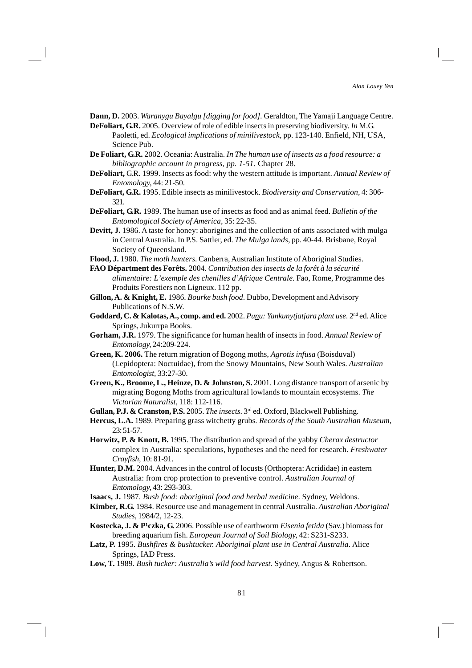**Dann, D.** 2003. *Waranygu Bayalgu [digging for food].* Geraldton, The Yamaji Language Centre. **DeFoliart, G.R.** 2005. Overview of role of edible insects in preserving biodiversity. *In* M.G.

Paoletti, ed. *Ecological implications of minilivestock,* pp. 123-140. Enfield, NH, USA, Science Pub.

- **De Foliart, G.R.** 2002. Oceania: Australia. *In The human use of insects as a food resource: a bibliographic account in progress, pp. 1-51.* Chapter 28.
- **DeFoliart,** G.R. 1999. Insects as food: why the western attitude is important. *Annual Review of Entomology,* 44: 21-50.
- **DeFoliart, G.R.** 1995. Edible insects as minilivestock. *Biodiversity and Conservation,* 4: 306- 321.
- **DeFoliart, G.R.** 1989. The human use of insects as food and as animal feed. *Bulletin of the Entomological Society of America,* 35: 22-35.
- **Devitt, J.** 1986. A taste for honey: aborigines and the collection of ants associated with mulga in Central Australia. In P.S. Sattler, ed. *The Mulga lands*, pp. 40-44. Brisbane, Royal Society of Queensland.
- **Flood, J.** 1980. *The moth hunters*. Canberra, Australian Institute of Aboriginal Studies.
- **FAO Départment des Forêts.** 2004. *Contribution des insects de la forêt à la sécurité alimentaire: L'exemple des chenilles d'Afrique Centrale.* Fao, Rome, Programme des Produits Forestiers non Ligneux. 112 pp.
- **Gillon, A. & Knight, E.** 1986. *Bourke bush food*. Dubbo, Development and Advisory Publications of N.S.W.
- **Goddard, C. & Kalotas, A., comp. and ed.** 2002. *Punu: Yankunytjatjara plant use.* 2nd ed. Alice Springs, Jukurrpa Books.
- **Gorham, J.R.** 1979. The significance for human health of insects in food. *Annual Review of Entomology,* 24:209-224.
- **Green, K. 2006.** The return migration of Bogong moths, *Agrotis infusa* (Boisduval) (Lepidoptera: Noctuidae), from the Snowy Mountains, New South Wales. *Australian Entomologist,* 33:27-30.
- Green, K., Broome, L., Heinze, D. & Johnston, S. 2001. Long distance transport of arsenic by migrating Bogong Moths from agricultural lowlands to mountain ecosystems. *The Victorian Naturalist,* 118: 112-116.
- **Gullan, P.J. & Cranston, P.S.** 2005. *The insects*. 3rd ed. Oxford, Blackwell Publishing.
- **Hercus, L.A.** 1989. Preparing grass witchetty grubs*. Records of the South Australian Museum,* 23: 51-57.
- **Horwitz, P. & Knott, B.** 1995. The distribution and spread of the yabby *Cherax destructor* complex in Australia: speculations, hypotheses and the need for research. *Freshwater Crayfish,* 10: 81-91.
- **Hunter, D.M.** 2004. Advances in the control of locusts (Orthoptera: Acrididae) in eastern Australia: from crop protection to preventive control. *Australian Journal of Entomology,* 43: 293-303.

**Isaacs, J.** 1987. *Bush food: aboriginal food and herbal medicine*. Sydney, Weldons.

- **Kimber, R.G.** 1984. Resource use and management in central Australia. *Australian Aboriginal Studies,* 1984/2, 12-23.
- **Kostecka, J. & P<sup>1</sup>czka, G.** 2006. Possible use of earthworm *Eisenia fetida* (Sav.) biomass for breeding aquarium fish. *European Journal of Soil Biology,* 42: S231-S233.
- **Latz, P.** 1995. *Bushfires & bushtucker. Aboriginal plant use in Central Australia*. Alice Springs, IAD Press.
- **Low, T.** 1989. *Bush tucker: Australia's wild food harvest*. Sydney, Angus & Robertson.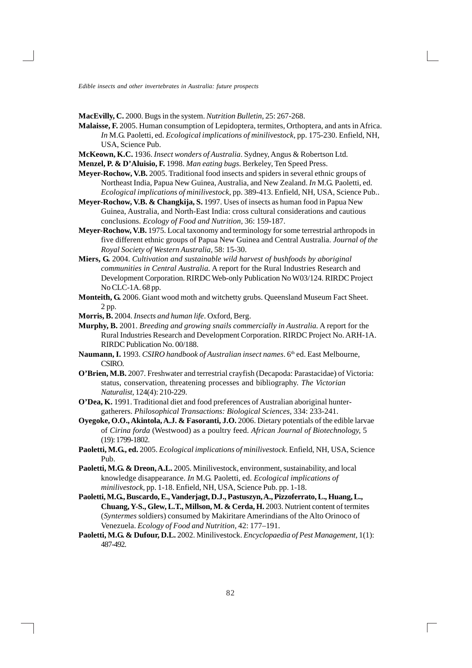*Edible insects and other invertebrates in Australia: future prospects*

**MacEvilly, C.** 2000. Bugs in the system. *Nutrition Bulletin*, 25: 267-268.

**Malaisse, F.** 2005. Human consumption of Lepidoptera, termites, Orthoptera, and ants in Africa. *In* M.G. Paoletti, ed. *Ecological implications of minilivestock,* pp. 175-230. Enfield, NH, USA, Science Pub.

**McKeown, K.C.** 1936. *Insect wonders of Australia*. Sydney, Angus & Robertson Ltd.

- **Menzel, P. & D'Aluisio, F.** 1998. *Man eating bugs*. Berkeley, Ten Speed Press.
- **Meyer-Rochow, V.B.** 2005. Traditional food insects and spiders in several ethnic groups of Northeast India, Papua New Guinea, Australia, and New Zealand. *In* M.G. Paoletti, ed. *Ecological implications of minilivestock,* pp. 389-413. Enfield, NH, USA, Science Pub..
- **Meyer-Rochow, V.B. & Changkija, S.** 1997. Uses of insects as human food in Papua New Guinea, Australia, and North-East India: cross cultural considerations and cautious conclusions. *Ecology of Food and Nutrition,* 36: 159-187.
- **Meyer-Rochow, V.B.** 1975. Local taxonomy and terminology for some terrestrial arthropods in five different ethnic groups of Papua New Guinea and Central Australia. *Journal of the Royal Society of Western Australia,* 58: 15-30.
- **Miers, G.** 2004. *Cultivation and sustainable wild harvest of bushfoods by aboriginal communities in Central Australia.* A report for the Rural Industries Research and Development Corporation. RIRDC Web-only Publication No W03/124. RIRDC Project No CLC-1A. 68 pp.
- **Monteith, G.** 2006. Giant wood moth and witchetty grubs. Queensland Museum Fact Sheet. 2 pp.

**Morris, B.** 2004. *Insects and human life*. Oxford, Berg.

- **Murphy, B.** 2001. *Breeding and growing snails commercially in Australia.* A report for the Rural Industries Research and Development Corporation. RIRDC Project No. ARH-1A. RIRDC Publication No. 00/188.
- Naumann, I. 1993. *CSIRO handbook of Australian insect names*. 6<sup>th</sup> ed. East Melbourne, CSIRO.
- **O'Brien, M.B.** 2007. Freshwater and terrestrial crayfish (Decapoda: Parastacidae) of Victoria: status, conservation, threatening processes and bibliography. *The Victorian Naturalist,* 124(4): 210-229.
- **O'Dea, K.** 1991. Traditional diet and food preferences of Australian aboriginal huntergatherers. *Philosophical Transactions: Biological Sciences,* 334: 233-241.
- **Oyegoke, O.O., Akintola, A.J. & Fasoranti, J.O.** 2006. Dietary potentials of the edible larvae of *Cirina forda* (Westwood) as a poultry feed. *African Journal of Biotechnology,* 5 (19): 1799-1802.
- **Paoletti, M.G., ed.** 2005. *Ecological implications of minilivestock*. Enfield, NH, USA, Science Pub.
- **Paoletti, M.G. & Dreon, A.L.** 2005. Minilivestock, environment, sustainability, and local knowledge disappearance. *In* M.G. Paoletti, ed. *Ecological implications of minilivestock,* pp. 1-18. Enfield, NH, USA, Science Pub. pp. 1-18.
- **Paoletti, M.G., Buscardo, E., Vanderjagt, D.J., Pastuszyn, A., Pizzoferrato, L., Huang, L., Chuang, Y-S., Glew, L.T., Millson, M. & Cerda, H.** 2003. Nutrient content of termites (*Syntermes* soldiers) consumed by Makiritare Amerindians of the Alto Orinoco of Venezuela. *Ecology of Food and Nutrition,* 42: 177–191.
- **Paoletti, M.G. & Dufour, D.L.** 2002. Minilivestock. *Encyclopaedia of Pest Management,* 1(1): 487-492.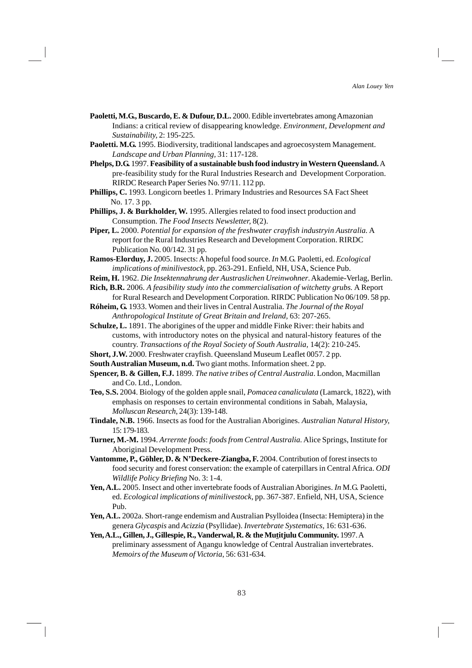- **Paoletti, M.G., Buscardo, E. & Dufour, D.L.** 2000. Edible invertebrates among Amazonian Indians: a critical review of disappearing knowledge. *Environment, Development and Sustainability,* 2: 195-225.
- **Paoletti. M.G.** 1995. Biodiversity, traditional landscapes and agroecosystem Management. *Landscape and Urban Planning,* 31: 117-128.
- **Phelps, D.G.** 1997. **Feasibility of a sustainable bush food industry in Western Queensland.** A pre-feasibility study for the Rural Industries Research and Development Corporation. RIRDC Research Paper Series No. 97/11. 112 pp.
- **Phillips, C.** 1993. Longicorn beetles 1. Primary Industries and Resources SA Fact Sheet No. 17. 3 pp.
- **Phillips, J. & Burkholder, W.** 1995. Allergies related to food insect production and Consumption. *The Food Insects Newsletter,* 8(2).
- **Piper, L.** 2000. *Potential for expansion of the freshwater crayfish industryin Australia.* A report for the Rural Industries Research and Development Corporation. RIRDC Publication No. 00/142. 31 pp.
- **Ramos-Elorduy, J.** 2005. Insects: A hopeful food source. *In* M.G. Paoletti, ed. *Ecological implications of minilivestock,* pp. 263-291. Enfield, NH, USA, Science Pub.
- **Reim, H.** 1962. *Die Insektennahrung der Austraslichen Ureinwohner*. Akademie-Verlag, Berlin.
- **Rich, B.R.** 2006. *A feasibility study into the commercialisation of witchetty grubs.* A Report
- for Rural Research and Development Corporation. RIRDC Publication No 06/109. 58 pp. **Róheim, G.** 1933. Women and their lives in Central Australia. *The Journal of the Royal*
	- *Anthropological Institute of Great Britain and Ireland,* 63: 207-265.
- **Schulze, L.** 1891. The aborigines of the upper and middle Finke River: their habits and customs, with introductory notes on the physical and natural-history features of the country. *Transactions of the Royal Society of South Australia,* 14(2): 210-245.
- **Short, J.W.** 2000. Freshwater crayfish. Queensland Museum Leaflet 0057. 2 pp.
- **South Australian Museum, n.d.** Two giant moths. Information sheet. 2 pp.
- **Spencer, B. & Gillen, F.J.** 1899. *The native tribes of Central Australia*. London, Macmillan and Co. Ltd., London.
- **Teo, S.S.** 2004. Biology of the golden apple snail, *Pomacea canaliculata* (Lamarck, 1822), with emphasis on responses to certain environmental conditions in Sabah, Malaysia, *Molluscan Research*, 24(3): 139-148.
- **Tindale, N.B.** 1966. Insects as food for the Australian Aborigines. *Australian Natural History,* 15: 179-183.
- **Turner, M.-M.** 1994. *Arrernte foods*: *foods from Central Australia.* Alice Springs, Institute for Aboriginal Development Press.
- **Vantomme, P., Göhler, D. & N'Deckere-Ziangba, F. 2004. Contribution of forest insects to** food security and forest conservation: the example of caterpillars in Central Africa. *ODI Wildlife Policy Briefing* No. 3: 1-4.
- **Yen, A.L.** 2005. Insect and other invertebrate foods of Australian Aborigines. *In* M.G. Paoletti, ed. *Ecological implications of minilivestock,* pp. 367-387. Enfield, NH, USA, Science Pub.
- **Yen, A.L.** 2002a. Short-range endemism and Australian Psylloidea (Insecta: Hemiptera) in the genera *Glycaspis* and *Acizzia* (Psyllidae). *Invertebrate Systematics,* 16: 631-636.
- **Yen, A.L., Gillen, J., Gillespie, R., Vanderwal, R. & the Mutitjulu Community.** 1997. A preliminary assessment of Anangu knowledge of Central Australian invertebrates. *Memoirs of the Museum of Victoria*, 56: 631-634.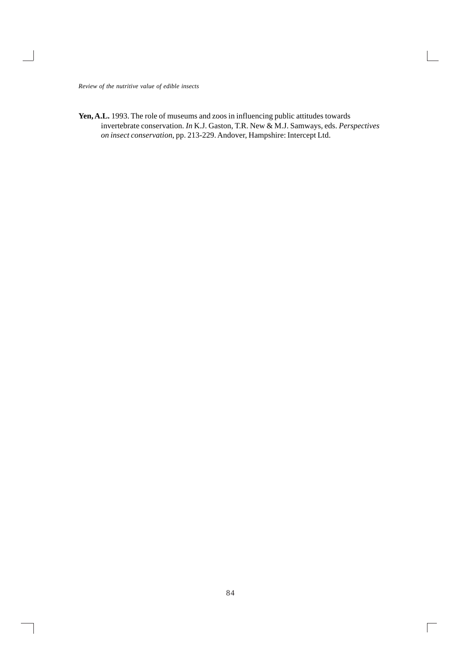*Review of the nutritive value of edible insects*

**Yen, A.L.** 1993. The role of museums and zoos in influencing public attitudes towards invertebrate conservation. *In* K.J. Gaston, T.R. New & M.J. Samways, eds. *Perspectives on insect conservation*, pp. 213-229. Andover, Hampshire: Intercept Ltd.

 $\overline{1}$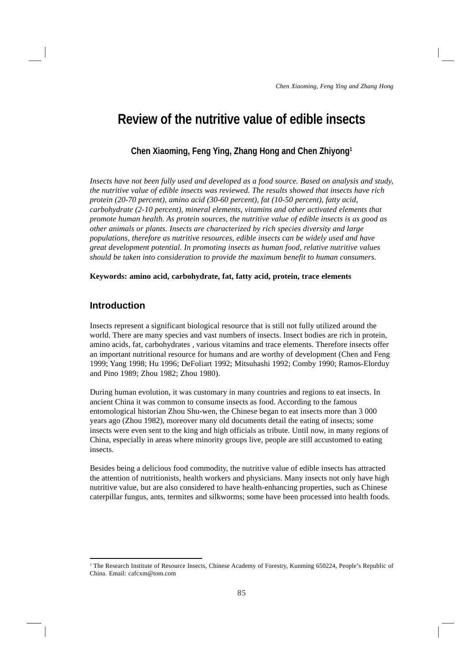*Chen Xiaoming, Feng Ying and Zhang Hong*

# **Review of the nutritive value of edible insects**

## **Chen Xiaoming, Feng Ying, Zhang Hong and Chen Zhiyong1**

*Insects have not been fully used and developed as a food source. Based on analysis and study, the nutritive value of edible insects was reviewed. The results showed that insects have rich protein (20-70 percent), amino acid (30-60 percent), fat (10-50 percent), fatty acid, carbohydrate (2-10 percent), mineral elements, vitamins and other activated elements that promote human health. As protein sources, the nutritive value of edible insects is as good as other animals or plants. Insects are characterized by rich species diversity and large populations, therefore as nutritive resources, edible insects can be widely used and have great development potential. In promoting insects as human food, relative nutritive values should be taken into consideration to provide the maximum benefit to human consumers.*

**Keywords: amino acid, carbohydrate, fat, fatty acid, protein, trace elements**

#### **Introduction**

Insects represent a significant biological resource that is still not fully utilized around the world. There are many species and vast numbers of insects. Insect bodies are rich in protein, amino acids, fat, carbohydrates , various vitamins and trace elements. Therefore insects offer an important nutritional resource for humans and are worthy of development (Chen and Feng 1999; Yang 1998; Hu 1996; DeFoliart 1992; Mitsuhashi 1992; Comby 1990; Ramos-Elorduy and Pino 1989; Zhou 1982; Zhou 1980).

During human evolution, it was customary in many countries and regions to eat insects. In ancient China it was common to consume insects as food. According to the famous entomological historian Zhou Shu-wen, the Chinese began to eat insects more than 3 000 years ago (Zhou 1982), moreover many old documents detail the eating of insects; some insects were even sent to the king and high officials as tribute. Until now, in many regions of China, especially in areas where minority groups live, people are still accustomed to eating insects.

Besides being a delicious food commodity, the nutritive value of edible insects has attracted the attention of nutritionists, health workers and physicians. Many insects not only have high nutritive value, but are also considered to have health-enhancing properties, such as Chinese caterpillar fungus, ants, termites and silkworms; some have been processed into health foods.

<sup>1</sup> The Research Institute of Resource Insects, Chinese Academy of Forestry, Kunming 650224, People's Republic of China. Email: cafcxm@tom.com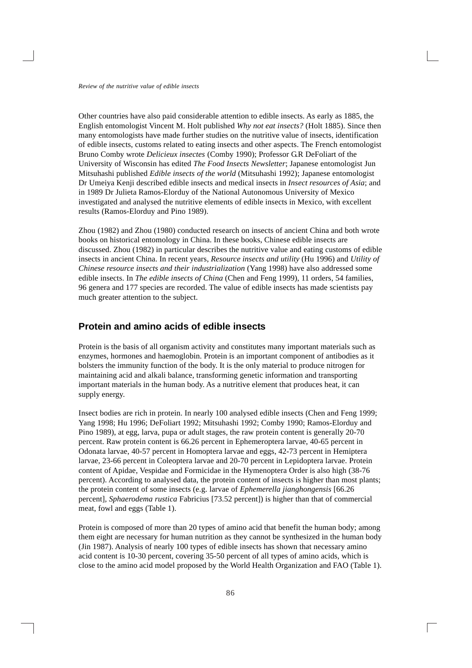*Review of the nutritive value of edible insects*

Other countries have also paid considerable attention to edible insects. As early as 1885, the English entomologist Vincent M. Holt published *Why not eat insects?* (Holt 1885). Since then many entomologists have made further studies on the nutritive value of insects, identification of edible insects, customs related to eating insects and other aspects. The French entomologist Bruno Comby wrote *Delicieux insectes* (Comby 1990); Professor G.R DeFoliart of the University of Wisconsin has edited *The Food Insects Newsletter*; Japanese entomologist Jun Mitsuhashi published *Edible insects of the world* (Mitsuhashi 1992); Japanese entomologist Dr Umeiya Kenji described edible insects and medical insects in *Insect resources of Asia*; and in 1989 Dr Julieta Ramos-Elorduy of the National Autonomous University of Mexico investigated and analysed the nutritive elements of edible insects in Mexico, with excellent results (Ramos-Elorduy and Pino 1989).

Zhou (1982) and Zhou (1980) conducted research on insects of ancient China and both wrote books on historical entomology in China. In these books, Chinese edible insects are discussed. Zhou (1982) in particular describes the nutritive value and eating customs of edible insects in ancient China. In recent years, *Resource insects and utility* (Hu 1996) and *Utility of Chinese resource insects and their industrialization* (Yang 1998) have also addressed some edible insects. In *The edible insects of China* (Chen and Feng 1999), 11 orders, 54 families, 96 genera and 177 species are recorded. The value of edible insects has made scientists pay much greater attention to the subject.

## **Protein and amino acids of edible insects**

Protein is the basis of all organism activity and constitutes many important materials such as enzymes, hormones and haemoglobin. Protein is an important component of antibodies as it bolsters the immunity function of the body. It is the only material to produce nitrogen for maintaining acid and alkali balance, transforming genetic information and transporting important materials in the human body. As a nutritive element that produces heat, it can supply energy.

Insect bodies are rich in protein. In nearly 100 analysed edible insects (Chen and Feng 1999; Yang 1998; Hu 1996; DeFoliart 1992; Mitsuhashi 1992; Comby 1990; Ramos-Elorduy and Pino 1989), at egg, larva, pupa or adult stages, the raw protein content is generally 20-70 percent. Raw protein content is 66.26 percent in Ephemeroptera larvae, 40-65 percent in Odonata larvae, 40-57 percent in Homoptera larvae and eggs, 42-73 percent in Hemiptera larvae, 23-66 percent in Coleoptera larvae and 20-70 percent in Lepidoptera larvae. Protein content of Apidae, Vespidae and Formicidae in the Hymenoptera Order is also high (38-76 percent). According to analysed data, the protein content of insects is higher than most plants; the protein content of some insects (e.g. larvae of *Ephemerella jianghongensis* [66.26 percent], *Sphaerodema rustica* Fabricius [73.52 percent]) is higher than that of commercial meat, fowl and eggs (Table 1).

Protein is composed of more than 20 types of amino acid that benefit the human body; among them eight are necessary for human nutrition as they cannot be synthesized in the human body (Jin 1987). Analysis of nearly 100 types of edible insects has shown that necessary amino acid content is 10-30 percent, covering 35-50 percent of all types of amino acids, which is close to the amino acid model proposed by the World Health Organization and FAO (Table 1).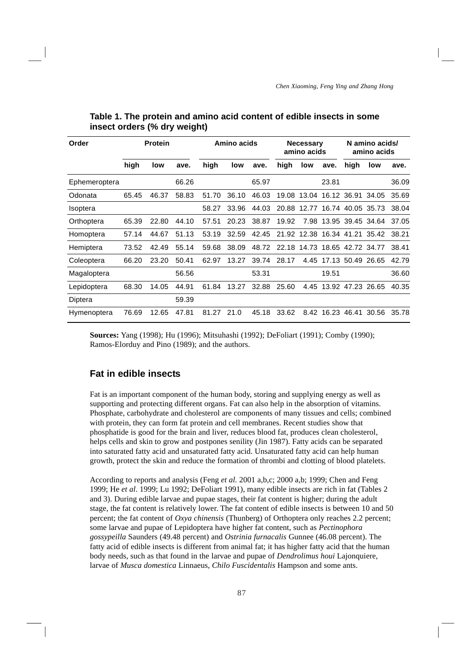| Order         | Protein |       | Amino acids |       |       | <b>Necessary</b><br>amino acids |       |             | N amino acids/<br>amino acids |                   |                               |       |
|---------------|---------|-------|-------------|-------|-------|---------------------------------|-------|-------------|-------------------------------|-------------------|-------------------------------|-------|
|               | high    | low   | ave.        | high  | low   | ave.                            | high  | low         | ave.                          | high              | low                           | ave.  |
| Ephemeroptera |         |       | 66.26       |       |       | 65.97                           |       |             | 23.81                         |                   |                               | 36.09 |
| Odonata       | 65.45   | 46.37 | 58.83       | 51.70 | 36.10 | 46.03                           |       | 19.08 13.04 |                               | 16.12 36.91       | 34.05                         | 35.69 |
| Isoptera      |         |       |             | 58.27 | 33.96 | 44.03                           |       |             |                               |                   | 20.88 12.77 16.74 40.05 35.73 | 38.04 |
| Orthoptera    | 65.39   | 22.80 | 44.10       | 57.51 | 20.23 | 38.87                           | 19.92 | 7.98        |                               |                   | 13.95 39.45 34.64             | 37.05 |
| Homoptera     | 57.14   | 44.67 | 51.13       | 53.19 | 32.59 | 42.45                           |       | 21.92 12.38 |                               |                   | 16.34 41.21 35.42             | 38.21 |
| Hemiptera     | 73.52   | 42.49 | 55.14       | 59.68 | 38.09 | 48.72                           |       |             | 22.18 14.73 18.65 42.72 34.77 |                   |                               | 38.41 |
| Coleoptera    | 66.20   | 23.20 | 50.41       | 62.97 | 13.27 | 39.74                           | 28.17 | 4.45        | 17.13                         | 50.49             | 26.65                         | 42.79 |
| Magaloptera   |         |       | 56.56       |       |       | 53.31                           |       |             | 19.51                         |                   |                               | 36.60 |
| Lepidoptera   | 68.30   | 14.05 | 44.91       | 61.84 | 13.27 | 32.88                           | 25.60 | 4.45        |                               | 13.92 47.23 26.65 |                               | 40.35 |
| Diptera       |         |       | 59.39       |       |       |                                 |       |             |                               |                   |                               |       |
| Hymenoptera   | 76.69   | 12.65 | 47.81       | 81.27 | 21.0  | 45.18                           | 33.62 | 8.42        | 16.23                         | 46.41             | 30.56                         | 35.78 |

**Table 1. The protein and amino acid content of edible insects in some insect orders (% dry weight)**

**Sources:** Yang (1998); Hu (1996); Mitsuhashi (1992); DeFoliart (1991); Comby (1990); Ramos-Elorduy and Pino (1989); and the authors.

## **Fat in edible insects**

Fat is an important component of the human body, storing and supplying energy as well as supporting and protecting different organs. Fat can also help in the absorption of vitamins. Phosphate, carbohydrate and cholesterol are components of many tissues and cells; combined with protein, they can form fat protein and cell membranes. Recent studies show that phosphatide is good for the brain and liver, reduces blood fat, produces clean cholesterol, helps cells and skin to grow and postpones senility (Jin 1987). Fatty acids can be separated into saturated fatty acid and unsaturated fatty acid. Unsaturated fatty acid can help human growth, protect the skin and reduce the formation of thrombi and clotting of blood platelets.

According to reports and analysis (Feng *et al.* 2001 a,b,c; 2000 a,b; 1999; Chen and Feng 1999; He *et al*. 1999; Lu 1992; DeFoliart 1991), many edible insects are rich in fat (Tables 2 and 3). During edible larvae and pupae stages, their fat content is higher; during the adult stage, the fat content is relatively lower. The fat content of edible insects is between 10 and 50 percent; the fat content of *Oxya chinensis* (Thunberg) of Orthoptera only reaches 2.2 percent; some larvae and pupae of Lepidoptera have higher fat content, such as *Pectinophora gossypeilla* Saunders (49.48 percent) and *Ostrinia furnacalis* Gunnee (46.08 percent). The fatty acid of edible insects is different from animal fat; it has higher fatty acid that the human body needs, such as that found in the larvae and pupae of *Dendrolimus houi* Lajonquiere, larvae of *Musca domestica* Linnaeus, *Chilo Fuscidentalis* Hampson and some ants.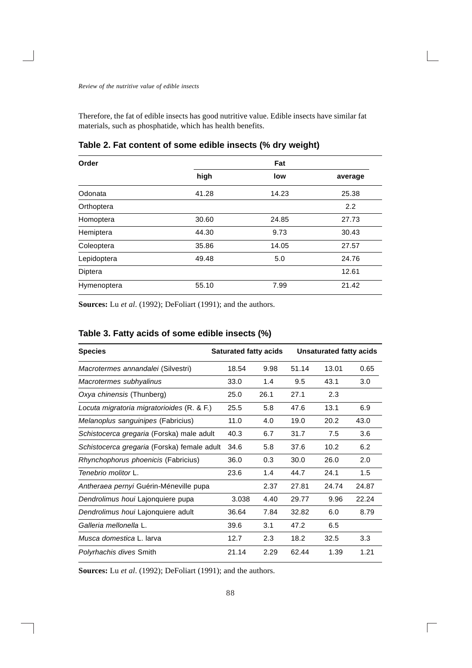*Review of the nutritive value of edible insects*

Therefore, the fat of edible insects has good nutritive value. Edible insects have similar fat materials, such as phosphatide, which has health benefits.

| Order       |       | Fat   |         |
|-------------|-------|-------|---------|
|             | high  | low   | average |
| Odonata     | 41.28 | 14.23 | 25.38   |
| Orthoptera  |       |       | 2.2     |
| Homoptera   | 30.60 | 24.85 | 27.73   |
| Hemiptera   | 44.30 | 9.73  | 30.43   |
| Coleoptera  | 35.86 | 14.05 | 27.57   |
| Lepidoptera | 49.48 | 5.0   | 24.76   |
| Diptera     |       |       | 12.61   |
| Hymenoptera | 55.10 | 7.99  | 21.42   |

**Table 2. Fat content of some edible insects (% dry weight)**

**Sources:** Lu *et al*. (1992); DeFoliart (1991); and the authors.

| <b>Species</b>                              | <b>Saturated fatty acids</b> |      |       | <b>Unsaturated fatty acids</b> |       |  |  |
|---------------------------------------------|------------------------------|------|-------|--------------------------------|-------|--|--|
| Macrotermes annandalei (Silvestri)          | 18.54                        | 9.98 | 51.14 | 13.01                          | 0.65  |  |  |
| Macrotermes subhyalinus                     | 33.0                         | 1.4  | 9.5   | 43.1                           | 3.0   |  |  |
| Oxya chinensis (Thunberg)                   | 25.0                         | 26.1 | 27.1  | 2.3                            |       |  |  |
| Locuta migratoria migratorioides (R. & F.)  | 25.5                         | 5.8  | 47.6  | 13.1                           | 6.9   |  |  |
| Melanoplus sanguinipes (Fabricius)          | 11.0                         | 4.0  | 19.0  | 20.2                           | 43.0  |  |  |
| Schistocerca gregaria (Forska) male adult   | 40.3                         | 6.7  | 31.7  | 7.5                            | 3.6   |  |  |
| Schistocerca gregaria (Forska) female adult | 34.6                         | 5.8  | 37.6  | 10.2                           | 6.2   |  |  |
| Rhynchophorus phoenicis (Fabricius)         | 36.0                         | 0.3  | 30.0  | 26.0                           | 2.0   |  |  |
| Tenebrio molitor L.                         | 23.6                         | 1.4  | 44.7  | 24.1                           | 1.5   |  |  |
| Antheraea pernyi Guérin-Méneville pupa      |                              | 2.37 | 27.81 | 24.74                          | 24.87 |  |  |
| Dendrolimus houi Lajonquiere pupa           | 3.038                        | 4.40 | 29.77 | 9.96                           | 22.24 |  |  |
| Dendrolimus houi Lajonquiere adult          | 36.64                        | 7.84 | 32.82 | 6.0                            | 8.79  |  |  |
| Galleria mellonella L.                      | 39.6                         | 3.1  | 47.2  | 6.5                            |       |  |  |
| Musca domestica L. larva                    | 12.7                         | 2.3  | 18.2  | 32.5                           | 3.3   |  |  |
| Polyrhachis dives Smith                     | 21.14                        | 2.29 | 62.44 | 1.39                           | 1.21  |  |  |
|                                             |                              |      |       |                                |       |  |  |

 $\overline{\phantom{a}}$  $\overline{\phantom{0}}$  $\sim$  $\overline{\phantom{a}}$  $\overline{\phantom{a}}$  $\overline{\phantom{0}}$  $\overline{\phantom{0}}$ 

 $\overline{\phantom{a}}$ 

## **Table 3. Fatty acids of some edible insects (%)**

**Sources:** Lu *et al*. (1992); DeFoliart (1991); and the authors.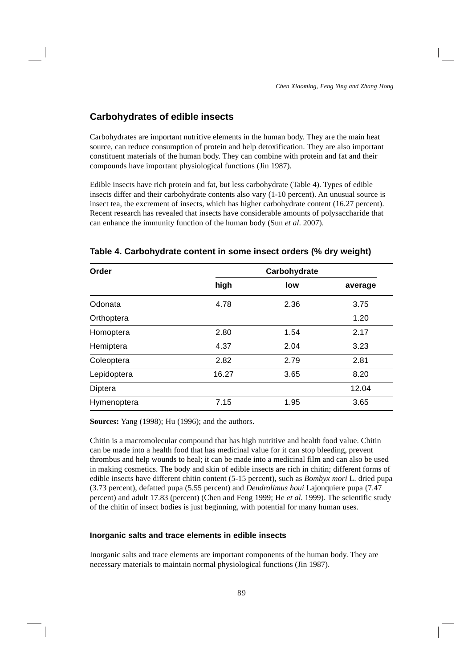#### **Carbohydrates of edible insects**

Carbohydrates are important nutritive elements in the human body. They are the main heat source, can reduce consumption of protein and help detoxification. They are also important constituent materials of the human body. They can combine with protein and fat and their compounds have important physiological functions (Jin 1987).

Edible insects have rich protein and fat, but less carbohydrate (Table 4). Types of edible insects differ and their carbohydrate contents also vary (1-10 percent). An unusual source is insect tea, the excrement of insects, which has higher carbohydrate content (16.27 percent). Recent research has revealed that insects have considerable amounts of polysaccharide that can enhance the immunity function of the human body (Sun *et al*. 2007).

| Table 4. Carbohydrate content in some insect orders (% dry weight) |  |  |  |
|--------------------------------------------------------------------|--|--|--|
|                                                                    |  |  |  |

| Order       |       | Carbohydrate |         |
|-------------|-------|--------------|---------|
|             | high  | low          | average |
| Odonata     | 4.78  | 2.36         | 3.75    |
| Orthoptera  |       |              | 1.20    |
| Homoptera   | 2.80  | 1.54         | 2.17    |
| Hemiptera   | 4.37  | 2.04         | 3.23    |
| Coleoptera  | 2.82  | 2.79         | 2.81    |
| Lepidoptera | 16.27 | 3.65         | 8.20    |
| Diptera     |       |              | 12.04   |
| Hymenoptera | 7.15  | 1.95         | 3.65    |

**Sources:** Yang (1998); Hu (1996); and the authors.

Chitin is a macromolecular compound that has high nutritive and health food value. Chitin can be made into a health food that has medicinal value for it can stop bleeding, prevent thrombus and help wounds to heal; it can be made into a medicinal film and can also be used in making cosmetics. The body and skin of edible insects are rich in chitin; different forms of edible insects have different chitin content (5-15 percent), such as *Bombyx mori* L. dried pupa (3.73 percent), defatted pupa (5.55 percent) and *Dendrolimus houi* Lajonquiere pupa (7.47 percent) and adult 17.83 (percent) (Chen and Feng 1999; He *et al*. 1999). The scientific study of the chitin of insect bodies is just beginning, with potential for many human uses.

#### **Inorganic salts and trace elements in edible insects**

Inorganic salts and trace elements are important components of the human body. They are necessary materials to maintain normal physiological functions (Jin 1987).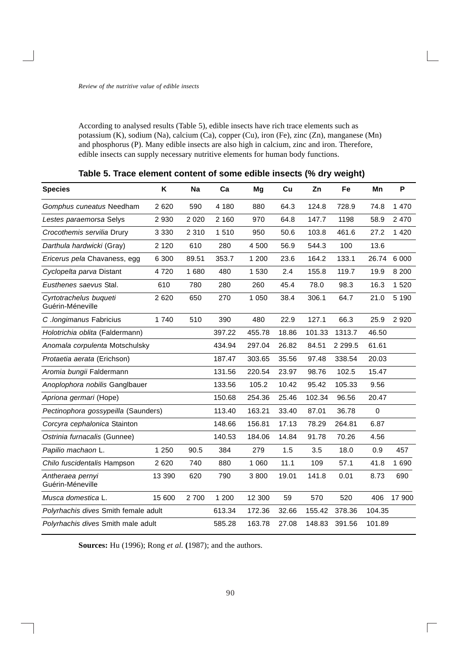According to analysed results (Table 5), edible insects have rich trace elements such as potassium (K), sodium (Na), calcium (Ca), copper (Cu), iron (Fe), zinc (Zn), manganese (Mn) and phosphorus (P). Many edible insects are also high in calcium, zinc and iron. Therefore, edible insects can supply necessary nutritive elements for human body functions.

| <b>Species</b>                             | K       | <b>Na</b> | Ca     | Mg      | Cu     | Zn     | Fe        | Mn        | P       |
|--------------------------------------------|---------|-----------|--------|---------|--------|--------|-----------|-----------|---------|
| Gomphus cuneatus Needham                   | 2 6 2 0 | 590       | 4 180  | 880     | 64.3   | 124.8  | 728.9     | 74.8      | 1 4 7 0 |
| Lestes paraemorsa Selys                    | 2 9 3 0 | 2 0 2 0   | 2 160  | 970     | 64.8   | 147.7  | 1198      | 58.9      | 2 4 7 0 |
| Crocothemis servilia Drury                 | 3 3 3 0 | 2 3 1 0   | 1510   | 950     | 50.6   | 103.8  | 461.6     | 27.2      | 1 4 2 0 |
| Darthula hardwicki (Gray)                  | 2 1 2 0 | 610       | 280    | 4 500   | 56.9   | 544.3  | 100       | 13.6      |         |
| Ericerus pela Chavaness, egg               | 6 300   | 89.51     | 353.7  | 1 200   | 23.6   | 164.2  | 133.1     | 26.74     | 6 0 0 0 |
| Cyclopelta parva Distant                   | 4720    | 1680      | 480    | 1 530   | 2.4    | 155.8  | 119.7     | 19.9      | 8 2 0 0 |
| Eusthenes saevus Stal.                     | 610     | 780       | 280    | 260     | 45.4   | 78.0   | 98.3      | 16.3      | 1 5 2 0 |
| Cyrtotrachelus buqueti<br>Guérin-Méneville | 2 6 2 0 | 650       | 270    | 1 0 5 0 | 38.4   | 306.1  | 64.7      | 21.0      | 5 1 9 0 |
| C.longimanus Fabricius                     | 1 740   | 510       | 390    | 480     | 22.9   | 127.1  | 66.3      | 25.9      | 2 9 2 0 |
| Holotrichia oblita (Faldermann)            |         |           | 397.22 | 455.78  | 18.86  | 101.33 | 1313.7    | 46.50     |         |
| Anomala corpulenta Motschulsky             |         |           | 434.94 | 297.04  | 26.82  | 84.51  | 2 2 9 9.5 | 61.61     |         |
| Protaetia aerata (Erichson)                |         |           | 187.47 | 303.65  | 35.56  | 97.48  | 338.54    | 20.03     |         |
| Aromia bungii Faldermann                   |         |           | 131.56 | 220.54  | 23.97  | 98.76  | 102.5     | 15.47     |         |
| Anoplophora nobilis Ganglbauer             |         |           | 133.56 | 105.2   | 10.42  | 95.42  | 105.33    | 9.56      |         |
| Apriona germari (Hope)                     |         |           | 150.68 | 254.36  | 25.46  | 102.34 | 96.56     | 20.47     |         |
| Pectinophora gossypeilla (Saunders)        |         |           | 113.40 | 163.21  | 33.40  | 87.01  | 36.78     | $\pmb{0}$ |         |
| Corcyra cephalonica Stainton               |         |           | 148.66 | 156.81  | 17.13  | 78.29  | 264.81    | 6.87      |         |
| Ostrinia furnacalis (Gunnee)               |         |           | 140.53 | 184.06  | 14.84  | 91.78  | 70.26     | 4.56      |         |
| Papilio machaon L.                         | 1 2 5 0 | 90.5      | 384    | 279     | 1.5    | 3.5    | 18.0      | 0.9       | 457     |
| Chilo fuscidentalis Hampson                | 2 6 2 0 | 740       | 880    | 1 0 6 0 | 11.1   | 109    | 57.1      | 41.8      | 1 6 9 0 |
| Antheraea pernyi<br>Guérin-Méneville       | 13 390  | 620       | 790    | 3800    | 19.01  | 141.8  | 0.01      | 8.73      | 690     |
| Musca domestica L.                         | 15 600  | 2700      | 1 200  | 12 300  | 59     | 570    | 520       | 406       | 17 900  |
| Polyrhachis dives Smith female adult       | 613.34  | 172.36    | 32.66  | 155.42  | 378.36 | 104.35 |           |           |         |
| Polyrhachis dives Smith male adult         | 585.28  | 163.78    | 27.08  | 148.83  | 391.56 | 101.89 |           |           |         |

**Table 5. Trace element content of some edible insects (% dry weight)**

**Sources:** Hu (1996); Rong *et al.* **(**1987); and the authors.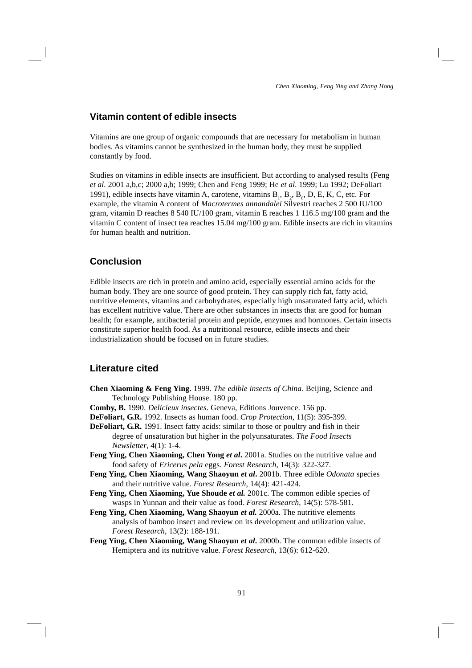#### **Vitamin content of edible insects**

Vitamins are one group of organic compounds that are necessary for metabolism in human bodies. As vitamins cannot be synthesized in the human body, they must be supplied constantly by food.

Studies on vitamins in edible insects are insufficient. But according to analysed results (Feng *et al.* 2001 a,b,c; 2000 a,b; 1999; Chen and Feng 1999; He *et al*. 1999; Lu 1992; DeFoliart 1991), edible insects have vitamin A, carotene, vitamins  $B_1$ ,  $B_2$ ,  $B_6$ , D, E, K, C, etc. For example, the vitamin A content of *Macrotermes annandalei* Silvestri reaches 2 500 IU/100 gram, vitamin D reaches 8 540 IU/100 gram, vitamin E reaches 1 116.5 mg/100 gram and the vitamin C content of insect tea reaches 15.04 mg/100 gram. Edible insects are rich in vitamins for human health and nutrition.

### **Conclusion**

Edible insects are rich in protein and amino acid, especially essential amino acids for the human body. They are one source of good protein. They can supply rich fat, fatty acid, nutritive elements, vitamins and carbohydrates, especially high unsaturated fatty acid, which has excellent nutritive value. There are other substances in insects that are good for human health; for example, antibacterial protein and peptide, enzymes and hormones. Certain insects constitute superior health food. As a nutritional resource, edible insects and their industrialization should be focused on in future studies.

## **Literature cited**

- **Chen Xiaoming & Feng Ying.** 1999. *The edible insects of China*. Beijing, Science and Technology Publishing House. 180 pp.
- **Comby, B.** 1990. *Delicieux insectes*. Geneva, Editions Jouvence. 156 pp.
- **DeFoliart, G.R.** 1992. Insects as human food. *Crop Protection*, 11(5): 395-399.
- **DeFoliart, G.R.** 1991. Insect fatty acids: similar to those or poultry and fish in their degree of unsaturation but higher in the polyunsaturates. *The Food Insects Newsletter*, 4(1): 1-4.
- **Feng Ying, Chen Xiaoming, Chen Yong** *et al***.** 2001a. Studies on the nutritive value and food safety of *Ericerus pela* eggs. *Forest Research*, 14(3): 322-327.
- **Feng Ying, Chen Xiaoming, Wang Shaoyun** *et al***.** 2001b. Three edible *Odonata* species and their nutritive value. *Forest Research*, 14(4): 421-424.
- **Feng Ying, Chen Xiaoming, Yue Shoude** *et al.* 2001c. The common edible species of wasps in Yunnan and their value as food. *Forest Research*, 14(5): 578-581.
- **Feng Ying, Chen Xiaoming, Wang Shaoyun** *et al.* 2000a. The nutritive elements analysis of bamboo insect and review on its development and utilization value. *Forest Research*, 13(2): 188-191.
- **Feng Ying, Chen Xiaoming, Wang Shaoyun** *et al***.** 2000b. The common edible insects of Hemiptera and its nutritive value. *Forest Research*, 13(6): 612-620.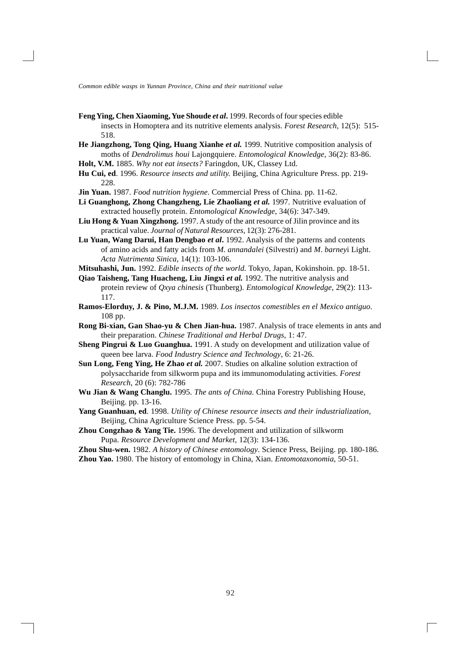*Common edible wasps in Yunnan Province, China and their nutritional value*

- **Feng Ying, Chen Xiaoming, Yue Shoude** *et al***.** 1999. Records of four species edible insects in Homoptera and its nutritive elements analysis. *Forest Research*, 12(5): 515- 518.
- **He Jiangzhong, Tong Qing, Huang Xianhe** *et al.* 1999. Nutritive composition analysis of moths of *Dendrolimus houi* Lajongquiere. *Entomological Knowledge*, 36(2): 83-86.
- **Holt, V.M.** 1885. *Why not eat insects?* Faringdon, UK, Classey Ltd.
- **Hu Cui, ed**. 1996. *Resource insects and utility.* Beijing, China Agriculture Press. pp. 219- 228.
- **Jin Yuan.** 1987. *Food nutrition hygiene*. Commercial Press of China. pp. 11-62.
- **Li Guanghong, Zhong Changzheng, Lie Zhaoliang** *et al.* 1997. Nutritive evaluation of extracted housefly protein. *Entomological Knowledge*, 34(6): 347-349.
- **Liu Hong & Yuan Xingzhong.** 1997. A study of the ant resource of Jilin province and its practical value. *Journal of Natural Resources*, 12(3): 276-281.
- **Lu Yuan, Wang Darui, Han Dengbao** *et al***.** 1992. Analysis of the patterns and contents of amino acids and fatty acids from *M. annandalei* (Silvestri) and *M*. *barney*i Light. *Acta Nutrimenta Sinica*, 14(1): 103-106.
- **Mitsuhashi, Jun.** 1992. *Edible insects of the world.* Tokyo, Japan, Kokinshoin. pp. 18-51.
- **Qiao Taisheng, Tang Huacheng, Liu Jingxi** *et al.* **1992. The nutritive analysis and** protein review of *Qxya chinesis* (Thunberg). *Entomological Knowledge*, 29(2): 113- 117.
- **Ramos-Elorduy, J. & Pino, M.J.M.** 1989. *Los insectos comestibles en el Mexico antiguo*. 108 pp.
- **Rong Bi-xian, Gan Shao-yu & Chen Jian-hua.** 1987. Analysis of trace elements in ants and their preparation. *Chinese Traditional and Herbal Drugs*, 1: 47.
- **Sheng Pingrui & Luo Guanghua.** 1991. A study on development and utilization value of queen bee larva. *Food Industry Science and Technology*, 6: 21-26.
- **Sun Long, Feng Ying, He Zhao** *et al.* 2007. Studies on alkaline solution extraction of polysaccharide from silkworm pupa and its immunomodulating activities. *Forest Research*, 20 (6): 782-786
- **Wu Jian & Wang Changlu.** 1995. *The ants of China.* China Forestry Publishing House, Beijing. pp. 13-16.
- **Yang Guanhuan, ed**. 1998. *Utility of Chinese resource insects and their industrialization*, Beijing, China Agriculture Science Press. pp. 5-54.
- **Zhou Congzhao & Yang Tie.** 1996. The development and utilization of silkworm Pupa. *Resource Development and Market,* 12(3): 134-136.
- **Zhou Shu-wen.** 1982. *A history of Chinese entomology*. Science Press, Beijing. pp. 180-186. **Zhou Yao.** 1980. The history of entomology in China, Xian. *Entomotaxonomia*, 50-51.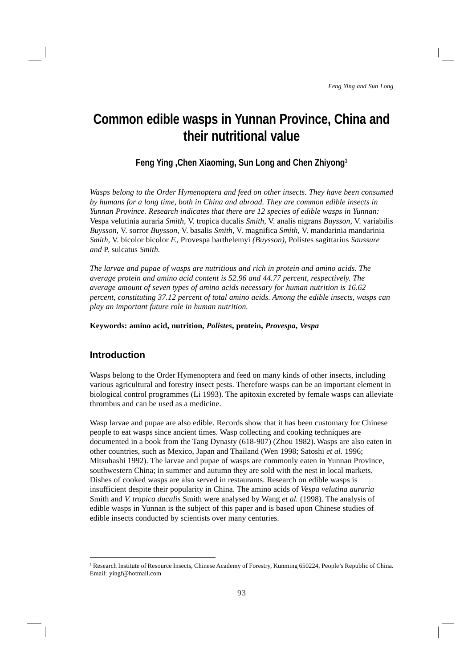# **Common edible wasps in Yunnan Province, China and their nutritional value**

### **Feng Ying ,Chen Xiaoming, Sun Long and Chen Zhiyong1**

*Wasps belong to the Order Hymenoptera and feed on other insects. They have been consumed by humans for a long time, both in China and abroad. They are common edible insects in Yunnan Province. Research indicates that there are 12 species of edible wasps in Yunnan:* Vespa velutinia auraria *Smith,* V. tropica ducalis *Smith,* V. analis nigrans *Buysson,* V. variabilis *Buysson,* V. sorror *Buysson,* V. basalis *Smith,* V. magnifica *Smith,* V. mandarinia mandarinia *Smith,* V. bicolor bicolor *F.,* Provespa barthelemyi *(Buysson),* Polistes sagittarius *Saussure and* P. sulcatus *Smith.*

*The larvae and pupae of wasps are nutritious and rich in protein and amino acids. The average protein and amino acid content is 52.96 and 44.77 percent, respectively. The average amount of seven types of amino acids necessary for human nutrition is 16.62 percent, constituting 37.12 percent of total amino acids. Among the edible insects, wasps can play an important future role in human nutrition.*

#### **Keywords: amino acid, nutrition,** *Polistes***, protein,** *Provespa***,** *Vespa*

## **Introduction**

Wasps belong to the Order Hymenoptera and feed on many kinds of other insects, including various agricultural and forestry insect pests. Therefore wasps can be an important element in biological control programmes (Li 1993). The apitoxin excreted by female wasps can alleviate thrombus and can be used as a medicine.

Wasp larvae and pupae are also edible. Records show that it has been customary for Chinese people to eat wasps since ancient times. Wasp collecting and cooking techniques are documented in a book from the Tang Dynasty (618-907) (Zhou 1982).Wasps are also eaten in other countries, such as Mexico, Japan and Thailand (Wen 1998; Satoshi *et al.* 1996; Mitsuhashi 1992). The larvae and pupae of wasps are commonly eaten in Yunnan Province, southwestern China; in summer and autumn they are sold with the nest in local markets. Dishes of cooked wasps are also served in restaurants. Research on edible wasps is insufficient despite their popularity in China. The amino acids of *Vespa velutina auraria* Smith and *V. tropica ducalis* Smith were analysed by Wang *et al.* (1998). The analysis of edible wasps in Yunnan is the subject of this paper and is based upon Chinese studies of edible insects conducted by scientists over many centuries.

<sup>&</sup>lt;sup>1</sup> Research Institute of Resource Insects, Chinese Academy of Forestry, Kunming 650224, People's Republic of China. Email: yingf@hotmail.com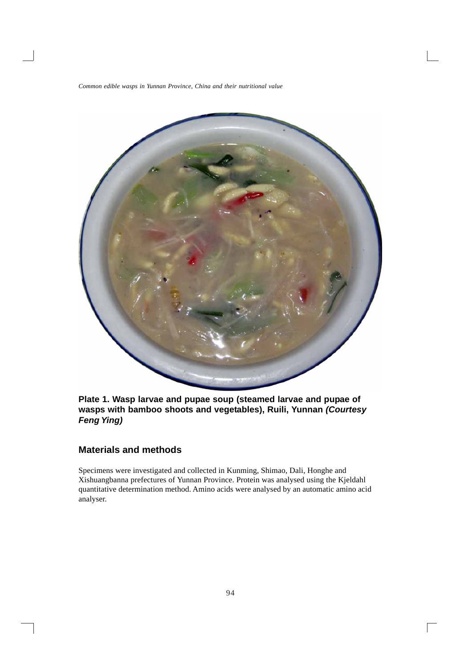*Common edible wasps in Yunnan Province, China and their nutritional value*



**Plate 1. Wasp larvae and pupae soup (steamed larvae and pupae of wasps with bamboo shoots and vegetables), Ruili, Yunnan** *(Courtesy Feng Ying)*

## **Materials and methods**

Specimens were investigated and collected in Kunming, Shimao, Dali, Honghe and Xishuangbanna prefectures of Yunnan Province. Protein was analysed using the Kjeldahl quantitative determination method. Amino acids were analysed by an automatic amino acid analyser.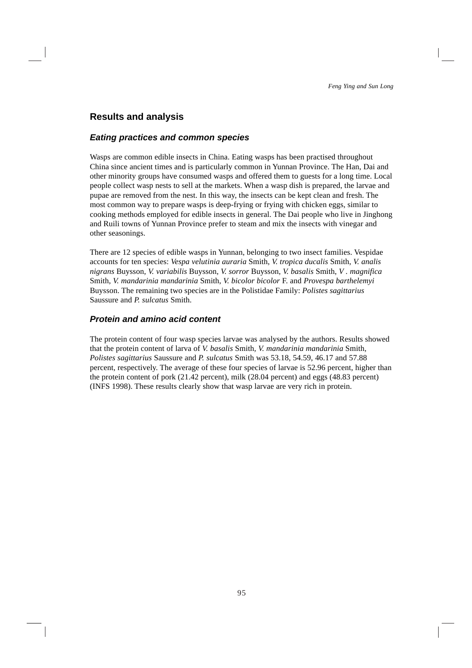#### **Results and analysis**

#### *Eating practices and common species*

Wasps are common edible insects in China. Eating wasps has been practised throughout China since ancient times and is particularly common in Yunnan Province. The Han, Dai and other minority groups have consumed wasps and offered them to guests for a long time. Local people collect wasp nests to sell at the markets. When a wasp dish is prepared, the larvae and pupae are removed from the nest. In this way, the insects can be kept clean and fresh. The most common way to prepare wasps is deep-frying or frying with chicken eggs, similar to cooking methods employed for edible insects in general. The Dai people who live in Jinghong and Ruili towns of Yunnan Province prefer to steam and mix the insects with vinegar and other seasonings.

There are 12 species of edible wasps in Yunnan, belonging to two insect families. Vespidae accounts for ten species: *Vespa velutinia auraria* Smith, *V. tropica ducalis* Smith, *V. analis nigrans* Buysson, *V. variabilis* Buysson, *V. sorror* Buysson, *V. basalis* Smith, *V . magnifica* Smith, *V. mandarinia mandarinia* Smith, *V. bicolor bicolor* F. and *Provespa barthelemyi* Buysson. The remaining two species are in the Polistidae Family: *Polistes sagittarius* Saussure and *P. sulcatus* Smith.

#### *Protein and amino acid content*

The protein content of four wasp species larvae was analysed by the authors. Results showed that the protein content of larva of *V. basalis* Smith*, V. mandarinia mandarinia* Smith, *Polistes sagittarius* Saussure and *P. sulcatus* Smith was 53.18, 54.59, 46.17 and 57.88 percent, respectively. The average of these four species of larvae is 52.96 percent, higher than the protein content of pork (21.42 percent), milk (28.04 percent) and eggs (48.83 percent) (INFS 1998). These results clearly show that wasp larvae are very rich in protein.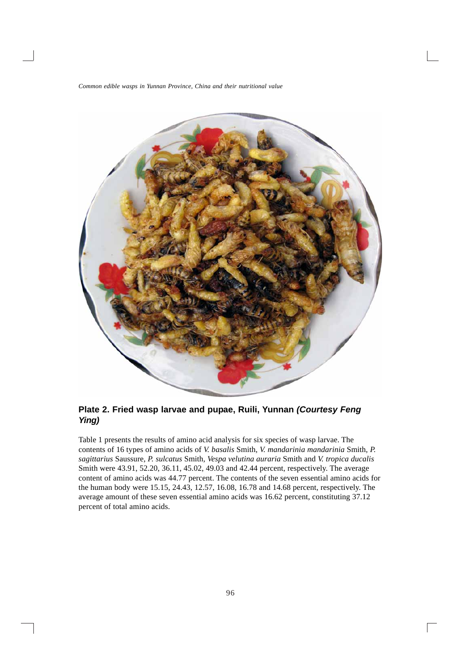*Common edible wasps in Yunnan Province, China and their nutritional value*



**Plate 2. Fried wasp larvae and pupae, Ruili, Yunnan** *(Courtesy Feng Ying)*

Table 1 presents the results of amino acid analysis for six species of wasp larvae. The contents of 16 types of amino acids of *V. basalis* Smith, *V. mandarinia mandarinia* Smith, *P. sagittarius* Saussure, *P. sulcatus* Smith*, Vespa velutina auraria* Smith and *V. tropica ducalis* Smith were 43.91, 52.20, 36.11, 45.02, 49.03 and 42.44 percent, respectively. The average content of amino acids was 44.77 percent. The contents of the seven essential amino acids for the human body were 15.15, 24.43, 12.57, 16.08, 16.78 and 14.68 percent, respectively. The average amount of these seven essential amino acids was 16.62 percent, constituting 37.12 percent of total amino acids.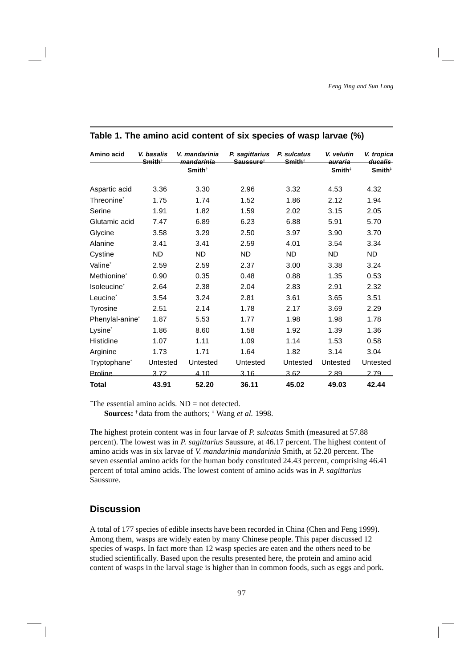| Amino acid                  | V. basalis<br>Smith <sup>+</sup> | V. mandarinia<br>mandarinia<br>Smith <sup>+</sup> | P. sagittarius<br>Saussure <sup>t</sup> | P. sulcatus<br>Smith <sup>+</sup> | V. velutin<br>auraria<br>Smith <sup>#</sup> | V. tropica<br>ducalis<br>Smith <sup>#</sup> |
|-----------------------------|----------------------------------|---------------------------------------------------|-----------------------------------------|-----------------------------------|---------------------------------------------|---------------------------------------------|
|                             |                                  |                                                   |                                         |                                   |                                             |                                             |
| Aspartic acid               | 3.36                             | 3.30                                              | 2.96                                    | 3.32                              | 4.53                                        | 4.32                                        |
| Threonine <sup>*</sup>      | 1.75                             | 1.74                                              | 1.52                                    | 1.86                              | 2.12                                        | 1.94                                        |
| Serine                      | 1.91                             | 1.82                                              | 1.59                                    | 2.02                              | 3.15                                        | 2.05                                        |
| Glutamic acid               | 7.47                             | 6.89                                              | 6.23                                    | 6.88                              | 5.91                                        | 5.70                                        |
| Glycine                     | 3.58                             | 3.29                                              | 2.50                                    | 3.97                              | 3.90                                        | 3.70                                        |
| Alanine                     | 3.41                             | 3.41                                              | 2.59                                    | 4.01                              | 3.54                                        | 3.34                                        |
| Cystine                     | <b>ND</b>                        | <b>ND</b>                                         | <b>ND</b>                               | <b>ND</b>                         | <b>ND</b>                                   | ND.                                         |
| Valine <sup>*</sup>         | 2.59                             | 2.59                                              | 2.37                                    | 3.00                              | 3.38                                        | 3.24                                        |
| Methionine <sup>*</sup>     | 0.90                             | 0.35                                              | 0.48                                    | 0.88                              | 1.35                                        | 0.53                                        |
| Isoleucine <sup>®</sup>     | 2.64                             | 2.38                                              | 2.04                                    | 2.83                              | 2.91                                        | 2.32                                        |
| Leucine <sup>*</sup>        | 3.54                             | 3.24                                              | 2.81                                    | 3.61                              | 3.65                                        | 3.51                                        |
| <b>Tyrosine</b>             | 2.51                             | 2.14                                              | 1.78                                    | 2.17                              | 3.69                                        | 2.29                                        |
| Phenylal-anine <sup>*</sup> | 1.87                             | 5.53                                              | 1.77                                    | 1.98                              | 1.98                                        | 1.78                                        |
| Lysine <sup>*</sup>         | 1.86                             | 8.60                                              | 1.58                                    | 1.92                              | 1.39                                        | 1.36                                        |
| Histidine                   | 1.07                             | 1.11                                              | 1.09                                    | 1.14                              | 1.53                                        | 0.58                                        |
| Arginine                    | 1.73                             | 1.71                                              | 1.64                                    | 1.82                              | 3.14                                        | 3.04                                        |
| Tryptophane <sup>*</sup>    | Untested                         | Untested                                          | Untested                                | Untested                          | Untested                                    | Untested                                    |
| <b>Proline</b>              | 3.72                             | 4.10                                              | 3.16                                    | 3.62                              | 2.89                                        | 2.79                                        |
| <b>Total</b>                | 43.91                            | 52.20                                             | 36.11                                   | 45.02                             | 49.03                                       | 42.44                                       |

|  |  | Table 1. The amino acid content of six species of wasp larvae (%) |  |  |  |  |
|--|--|-------------------------------------------------------------------|--|--|--|--|
|  |  |                                                                   |  |  |  |  |

\* The essential amino acids. ND = not detected.

**Sources:** † data from the authors; ‡ Wang *et al.* 1998.

The highest protein content was in four larvae of *P. sulcatus* Smith (measured at 57.88 percent). The lowest was in *P. sagittarius* Saussure, at 46.17 percent. The highest content of amino acids was in six larvae of *V. mandarinia mandarinia* Smith, at 52.20 percent. The seven essential amino acids for the human body constituted 24.43 percent, comprising 46.41 percent of total amino acids. The lowest content of amino acids was in *P. sagittarius* Saussure.

#### **Discussion**

A total of 177 species of edible insects have been recorded in China (Chen and Feng 1999). Among them, wasps are widely eaten by many Chinese people. This paper discussed 12 species of wasps. In fact more than 12 wasp species are eaten and the others need to be studied scientifically. Based upon the results presented here, the protein and amino acid content of wasps in the larval stage is higher than in common foods, such as eggs and pork.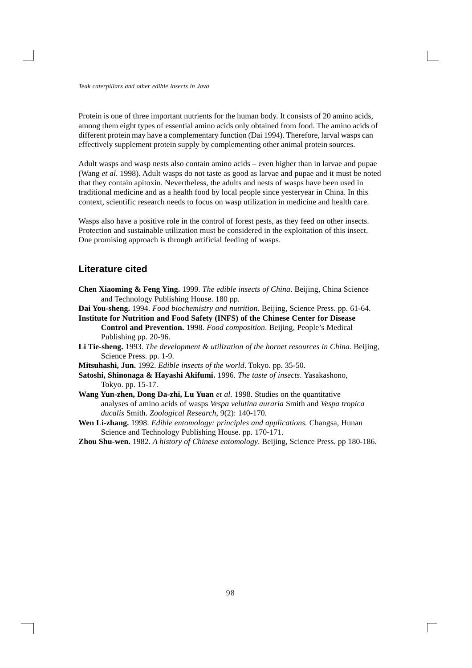Protein is one of three important nutrients for the human body. It consists of 20 amino acids, among them eight types of essential amino acids only obtained from food. The amino acids of different protein may have a complementary function (Dai 1994). Therefore, larval wasps can effectively supplement protein supply by complementing other animal protein sources.

Adult wasps and wasp nests also contain amino acids – even higher than in larvae and pupae (Wang *et al*. 1998). Adult wasps do not taste as good as larvae and pupae and it must be noted that they contain apitoxin. Nevertheless, the adults and nests of wasps have been used in traditional medicine and as a health food by local people since yesteryear in China. In this context, scientific research needs to focus on wasp utilization in medicine and health care.

Wasps also have a positive role in the control of forest pests, as they feed on other insects. Protection and sustainable utilization must be considered in the exploitation of this insect. One promising approach is through artificial feeding of wasps.

#### **Literature cited**

**Chen Xiaoming & Feng Ying.** 1999. *The edible insects of China*. Beijing, China Science and Technology Publishing House. 180 pp.

**Dai You-sheng.** 1994. *Food biochemistry and nutrition*. Beijing, Science Press. pp. 61-64.

- **Institute for Nutrition and Food Safety (INFS) of the Chinese Center for Disease Control and Prevention.** 1998. *Food composition*. Beijing, People's Medical Publishing pp. 20-96.
- **Li Tie-sheng.** 1993. *The development & utilization of the hornet resources in China.* Beijing, Science Press. pp. 1-9.
- **Mitsuhashi, Jun.** 1992. *Edible insects of the world*. Tokyo. pp. 35-50.
- **Satoshi, Shinonaga & Hayashi Akifumi.** 1996. *The taste of insects*. Yasakashono, Tokyo. pp. 15-17.
- **Wang Yun-zhen, Dong Da-zhi, Lu Yuan** *et al.* 1998. Studies on the quantitative analyses of amino acids of wasps *Vespa velutina auraria* Smith and *Vespa tropica ducalis* Smith. *Zoological Research*, 9(2): 140-170.
- **Wen Li-zhang.** 1998. *Edible entomology: principles and applications.* Changsa, Hunan Science and Technology Publishing House. pp. 170-171.

**Zhou Shu-wen.** 1982. *A history of Chinese entomology*. Beijing, Science Press. pp 180-186.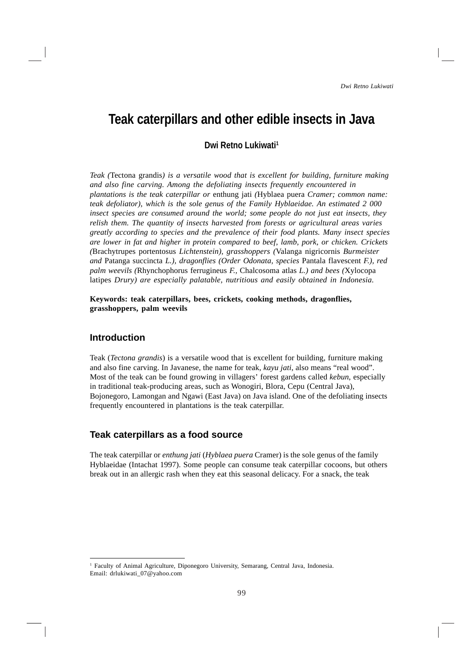### **Dwi Retno Lukiwati1**

*Teak (*Tectona grandis*) is a versatile wood that is excellent for building, furniture making and also fine carving. Among the defoliating insects frequently encountered in plantations is the teak caterpillar or* enthung jati *(*Hyblaea puera *Cramer; common name: teak defoliator), which is the sole genus of the Family Hyblaeidae. An estimated 2 000 insect species are consumed around the world; some people do not just eat insects, they relish them. The quantity of insects harvested from forests or agricultural areas varies greatly according to species and the prevalence of their food plants. Many insect species are lower in fat and higher in protein compared to beef, lamb, pork, or chicken. Crickets (*Brachytrupes portentosus *Lichtenstein), grasshoppers (*Valanga nigricornis *Burmeister and* Patanga succincta *L.), dragonflies (Order Odonata, species* Pantala flavescent *F.), red palm weevils (*Rhynchophorus ferrugineus *F.,* Chalcosoma atlas *L.) and bees (*Xylocopa latipes *Drury) are especially palatable, nutritious and easily obtained in Indonesia.*

**Keywords: teak caterpillars, bees, crickets, cooking methods, dragonflies, grasshoppers, palm weevils**

#### **Introduction**

Teak (*Tectona grandis*) is a versatile wood that is excellent for building, furniture making and also fine carving. In Javanese, the name for teak, *kayu jati*, also means "real wood". Most of the teak can be found growing in villagers' forest gardens called *kebun*, especially in traditional teak-producing areas, such as Wonogiri, Blora, Cepu (Central Java), Bojonegoro, Lamongan and Ngawi (East Java) on Java island. One of the defoliating insects frequently encountered in plantations is the teak caterpillar.

#### **Teak caterpillars as a food source**

The teak caterpillar or *enthung jati* (*Hyblaea puera* Cramer) is the sole genus of the family Hyblaeidae (Intachat 1997). Some people can consume teak caterpillar cocoons, but others break out in an allergic rash when they eat this seasonal delicacy. For a snack, the teak

<sup>1</sup> Faculty of Animal Agriculture, Diponegoro University, Semarang, Central Java, Indonesia. Email: drlukiwati\_07@yahoo.com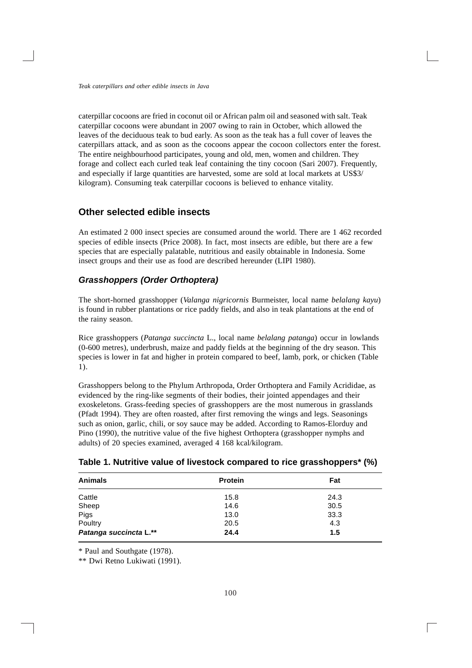caterpillar cocoons are fried in coconut oil or African palm oil and seasoned with salt. Teak caterpillar cocoons were abundant in 2007 owing to rain in October, which allowed the leaves of the deciduous teak to bud early. As soon as the teak has a full cover of leaves the caterpillars attack, and as soon as the cocoons appear the cocoon collectors enter the forest. The entire neighbourhood participates, young and old, men, women and children. They forage and collect each curled teak leaf containing the tiny cocoon (Sari 2007). Frequently, and especially if large quantities are harvested, some are sold at local markets at US\$3/ kilogram). Consuming teak caterpillar cocoons is believed to enhance vitality.

#### **Other selected edible insects**

An estimated 2 000 insect species are consumed around the world. There are 1 462 recorded species of edible insects (Price 2008). In fact, most insects are edible, but there are a few species that are especially palatable, nutritious and easily obtainable in Indonesia. Some insect groups and their use as food are described hereunder (LIPI 1980).

#### *Grasshoppers (Order Orthoptera)*

The short-horned grasshopper (*Valanga nigricornis* Burmeister, local name *belalang kayu*) is found in rubber plantations or rice paddy fields, and also in teak plantations at the end of the rainy season.

Rice grasshoppers (*Patanga succincta* L., local name *belalang patanga*) occur in lowlands (0-600 metres), underbrush, maize and paddy fields at the beginning of the dry season. This species is lower in fat and higher in protein compared to beef, lamb, pork, or chicken (Table 1).

Grasshoppers belong to the Phylum Arthropoda, Order Orthoptera and Family Acrididae, as evidenced by the ring-like segments of their bodies, their jointed appendages and their exoskeletons. Grass-feeding species of grasshoppers are the most numerous in grasslands (Pfadt 1994). They are often roasted, after first removing the wings and legs. Seasonings such as onion, garlic, chili, or soy sauce may be added. According to Ramos-Elorduy and Pino (1990), the nutritive value of the five highest Orthoptera (grasshopper nymphs and adults) of 20 species examined, averaged 4 168 kcal/kilogram.

| <b>Animals</b>         | <b>Protein</b> | Fat  |
|------------------------|----------------|------|
| Cattle                 | 15.8           | 24.3 |
| Sheep                  | 14.6           | 30.5 |
| Pigs                   | 13.0           | 33.3 |
| Poultry                | 20.5           | 4.3  |
| Patanga succincta L.** | 24.4           | 1.5  |

#### **Table 1. Nutritive value of livestock compared to rice grasshoppers\* (%)**

\* Paul and Southgate (1978).

\*\* Dwi Retno Lukiwati (1991).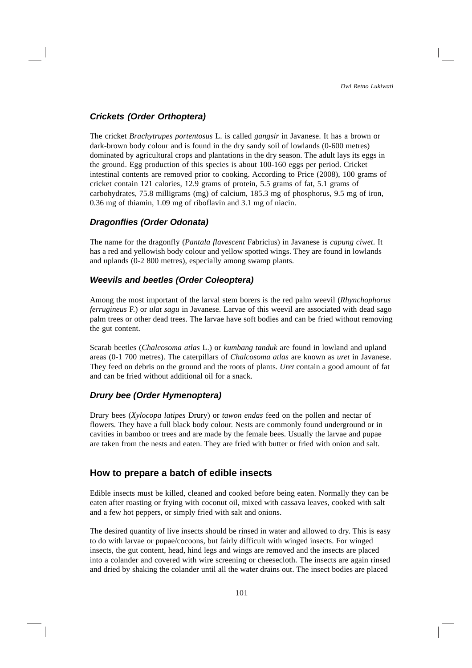#### *Crickets (Order Orthoptera)*

The cricket *Brachytrupes portentosus* L. is called *gangsir* in Javanese. It has a brown or dark-brown body colour and is found in the dry sandy soil of lowlands (0-600 metres) dominated by agricultural crops and plantations in the dry season. The adult lays its eggs in the ground. Egg production of this species is about 100-160 eggs per period. Cricket intestinal contents are removed prior to cooking. According to Price (2008), 100 grams of cricket contain 121 calories, 12.9 grams of protein, 5.5 grams of fat, 5.1 grams of carbohydrates, 75.8 milligrams (mg) of calcium, 185.3 mg of phosphorus, 9.5 mg of iron, 0.36 mg of thiamin, 1.09 mg of riboflavin and 3.1 mg of niacin.

#### *Dragonflies (Order Odonata)*

The name for the dragonfly (*Pantala flavescent* Fabricius) in Javanese is *capung ciwet*. It has a red and yellowish body colour and yellow spotted wings. They are found in lowlands and uplands (0-2 800 metres), especially among swamp plants.

#### *Weevils and beetles (Order Coleoptera)*

Among the most important of the larval stem borers is the red palm weevil (*Rhynchophorus ferrugineus* F.) or *ulat sagu* in Javanese. Larvae of this weevil are associated with dead sago palm trees or other dead trees. The larvae have soft bodies and can be fried without removing the gut content.

Scarab beetles (*Chalcosoma atlas* L.) or *kumbang tanduk* are found in lowland and upland areas (0-1 700 metres). The caterpillars of *Chalcosoma atlas* are known as *uret* in Javanese. They feed on debris on the ground and the roots of plants. *Uret* contain a good amount of fat and can be fried without additional oil for a snack.

#### *Drury bee (Order Hymenoptera)*

Drury bees (*Xylocopa latipes* Drury) or *tawon endas* feed on the pollen and nectar of flowers. They have a full black body colour. Nests are commonly found underground or in cavities in bamboo or trees and are made by the female bees. Usually the larvae and pupae are taken from the nests and eaten. They are fried with butter or fried with onion and salt.

#### **How to prepare a batch of edible insects**

Edible insects must be killed, cleaned and cooked before being eaten. Normally they can be eaten after roasting or frying with coconut oil, mixed with cassava leaves, cooked with salt and a few hot peppers, or simply fried with salt and onions.

The desired quantity of live insects should be rinsed in water and allowed to dry. This is easy to do with larvae or pupae/cocoons, but fairly difficult with winged insects. For winged insects, the gut content, head, hind legs and wings are removed and the insects are placed into a colander and covered with wire screening or cheesecloth. The insects are again rinsed and dried by shaking the colander until all the water drains out. The insect bodies are placed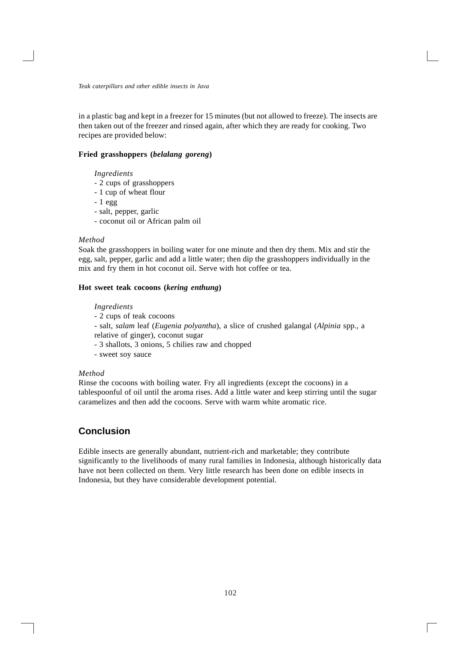in a plastic bag and kept in a freezer for 15 minutes (but not allowed to freeze). The insects are then taken out of the freezer and rinsed again, after which they are ready for cooking. Two recipes are provided below:

#### **Fried grasshoppers (***belalang goreng***)**

*Ingredients*

- 2 cups of grasshoppers
- 1 cup of wheat flour
- 1 egg
- salt, pepper, garlic
- coconut oil or African palm oil

#### *Method*

Soak the grasshoppers in boiling water for one minute and then dry them. Mix and stir the egg, salt, pepper, garlic and add a little water; then dip the grasshoppers individually in the mix and fry them in hot coconut oil. Serve with hot coffee or tea.

#### **Hot sweet teak cocoons (***kering enthung***)**

#### *Ingredients*

- 2 cups of teak cocoons
- salt, *salam* leaf (*Eugenia polyantha*), a slice of crushed galangal (*Alpinia* spp., a
- relative of ginger), coconut sugar
- 3 shallots, 3 onions, 5 chilies raw and chopped
- sweet soy sauce

#### *Method*

Rinse the cocoons with boiling water. Fry all ingredients (except the cocoons) in a tablespoonful of oil until the aroma rises. Add a little water and keep stirring until the sugar caramelizes and then add the cocoons. Serve with warm white aromatic rice.

## **Conclusion**

Edible insects are generally abundant, nutrient-rich and marketable; they contribute significantly to the livelihoods of many rural families in Indonesia, although historically data have not been collected on them. Very little research has been done on edible insects in Indonesia, but they have considerable development potential.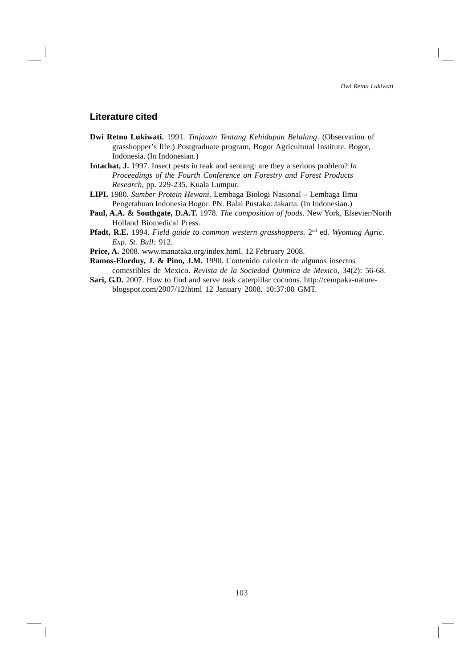*Dwi Retno Lukiwati*

#### **Literature cited**

- **Dwi Retno Lukiwati.** 1991. *Tinjauan Tentang Kehidupan Belalang*. (Observation of grasshopper's life.) Postgraduate program, Bogor Agricultural Institute. Bogor, Indonesia. (In Indonesian.)
- **Intachat, J.** 1997. Insect pests in teak and sentang: are they a serious problem? *In Proceedings of the Fourth Conference on Forestry and Forest Products Research*, pp. 229-235. Kuala Lumpur.
- **LIPI.** 1980. *Sumber Protein Hewani*. Lembaga Biologi Nasional Lembaga Ilmu Pengetahuan Indonesia Bogor. PN. Balai Pustaka. Jakarta. (In Indonesian.)
- **Paul, A.A. & Southgate, D.A.T.** 1978. *The composition of foods*. New York, Elsevier/North Holland Biomedical Press.
- **Pfadt, R.E.** 1994. *Field guide to common western grasshoppers.* 2nd ed. *Wyoming Agric. Exp. St. Bull:* 912.
- **Price, A.** 2008. www.manataka.org/index.html. 12 February 2008.
- **Ramos-Elorduy, J. & Pino, J.M.** 1990. Contenido calorico de algunos insectos comestibles de Mexico. *Revista de la Sociedad Quimica de Mexico,* 34(2): 56-68.
- **Sari, G.D.** 2007. How to find and serve teak caterpillar cocoons. http://cempaka-natureblogspot.com/2007/12/html 12 January 2008. 10:37:00 GMT.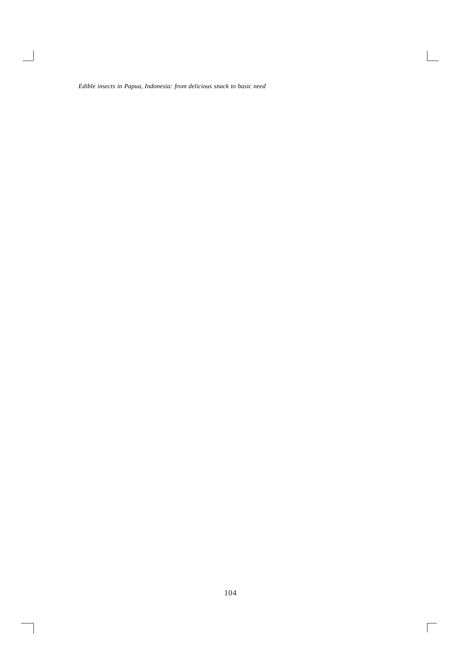*Edible insects in Papua, Indonesia: from delicious snack to basic need*

 $\overline{1}$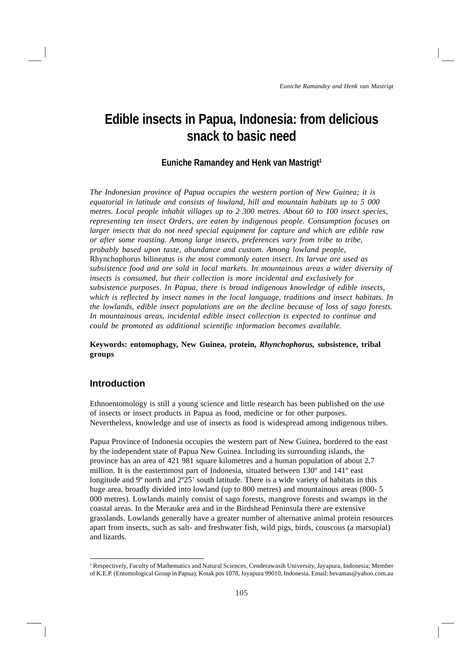# **Edible insects in Papua, Indonesia: from delicious snack to basic need**

#### **Euniche Ramandey and Henk van Mastrigt1**

*The Indonesian province of Papua occupies the western portion of New Guinea; it is equatorial in latitude and consists of lowland, hill and mountain habitats up to 5 000 metres. Local people inhabit villages up to 2 300 metres. About 60 to 100 insect species, representing ten insect Orders, are eaten by indigenous people. Consumption focuses on larger insects that do not need special equipment for capture and which are edible raw or after some roasting. Among large insects, preferences vary from tribe to tribe, probably based upon taste, abundance and custom. Among lowland people,* Rhynchophorus bilineatus *is the most commonly eaten insect. Its larvae are used as subsistence food and are sold in local markets. In mountainous areas a wider diversity of insects is consumed, but their collection is more incidental and exclusively for subsistence purposes. In Papua, there is broad indigenous knowledge of edible insects, which is reflected by insect names in the local language, traditions and insect habitats. In the lowlands, edible insect populations are on the decline because of loss of sago forests. In mountainous areas, incidental edible insect collection is expected to continue and could be promoted as additional scientific information becomes available.*

#### **Keywords: entomophagy, New Guinea, protein,** *Rhynchophorus,* **subsistence, tribal groups**

#### **Introduction**

Ethnoentomology is still a young science and little research has been published on the use of insects or insect products in Papua as food, medicine or for other purposes. Nevertheless, knowledge and use of insects as food is widespread among indigenous tribes.

Papua Province of Indonesia occupies the western part of New Guinea, bordered to the east by the independent state of Papua New Guinea. Including its surrounding islands, the province has an area of 421 981 square kilometres and a human population of about 2.7 million. It is the easternmost part of Indonesia, situated between 130º and 141º east longitude and 9º north and 2º25' south latitude. There is a wide variety of habitats in this huge area, broadly divided into lowland (up to 800 metres) and mountainous areas (800- 5 000 metres). Lowlands mainly consist of sago forests, mangrove forests and swamps in the coastal areas. In the Merauke area and in the Birdshead Peninsula there are extensive grasslands. Lowlands generally have a greater number of alternative animal protein resources apart from insects, such as salt- and freshwater fish, wild pigs, birds, couscous (a marsupial) and lizards.

<sup>1</sup> Respectively, Faculty of Mathematics and Natural Sciences, Cenderawasih University, Jayapura, Indonesia; Member of K.E.P. (Entomological Group in Papua), Kotak pos 1078, Jayapura 99010, Indonesia. Email: hevamas@yahoo.com.au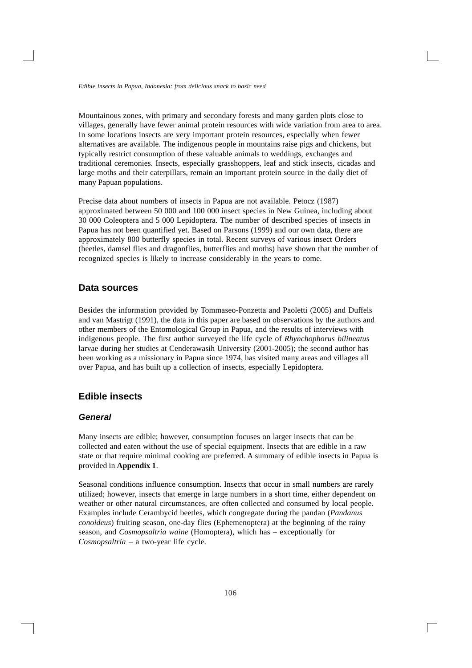*Edible insects in Papua, Indonesia: from delicious snack to basic need*

Mountainous zones, with primary and secondary forests and many garden plots close to villages, generally have fewer animal protein resources with wide variation from area to area. In some locations insects are very important protein resources, especially when fewer alternatives are available. The indigenous people in mountains raise pigs and chickens, but typically restrict consumption of these valuable animals to weddings, exchanges and traditional ceremonies. Insects, especially grasshoppers, leaf and stick insects, cicadas and large moths and their caterpillars, remain an important protein source in the daily diet of many Papuan populations.

Precise data about numbers of insects in Papua are not available. Petocz (1987) approximated between 50 000 and 100 000 insect species in New Guinea, including about 30 000 Coleoptera and 5 000 Lepidoptera. The number of described species of insects in Papua has not been quantified yet. Based on Parsons (1999) and our own data, there are approximately 800 butterfly species in total. Recent surveys of various insect Orders (beetles, damsel flies and dragonflies, butterflies and moths) have shown that the number of recognized species is likely to increase considerably in the years to come.

#### **Data sources**

Besides the information provided by Tommaseo-Ponzetta and Paoletti (2005) and Duffels and van Mastrigt (1991), the data in this paper are based on observations by the authors and other members of the Entomological Group in Papua, and the results of interviews with indigenous people. The first author surveyed the life cycle of *Rhynchophorus bilineatus* larvae during her studies at Cenderawasih University (2001-2005); the second author has been working as a missionary in Papua since 1974, has visited many areas and villages all over Papua, and has built up a collection of insects, especially Lepidoptera.

## **Edible insects**

#### *General*

Many insects are edible; however, consumption focuses on larger insects that can be collected and eaten without the use of special equipment. Insects that are edible in a raw state or that require minimal cooking are preferred. A summary of edible insects in Papua is provided in **Appendix 1**.

Seasonal conditions influence consumption. Insects that occur in small numbers are rarely utilized; however, insects that emerge in large numbers in a short time, either dependent on weather or other natural circumstances, are often collected and consumed by local people. Examples include Cerambycid beetles, which congregate during the pandan (*Pandanus conoideus*) fruiting season, one-day flies (Ephemenoptera) at the beginning of the rainy season, and *Cosmopsaltria waine* (Homoptera), which has – exceptionally for *Cosmopsaltria* – a two-year life cycle.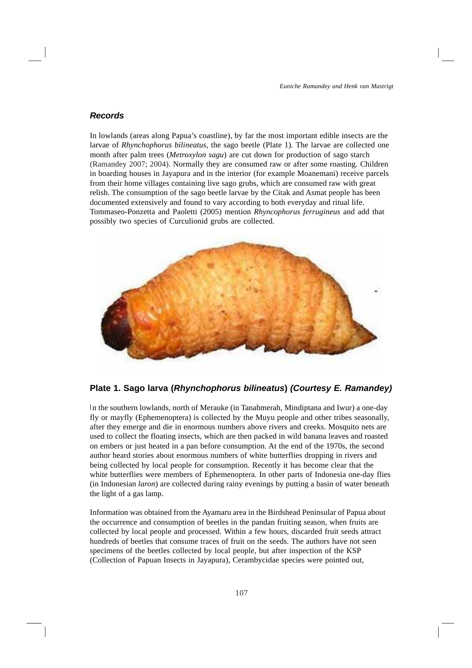#### *Records*

In lowlands (areas along Papua's coastline), by far the most important edible insects are the larvae of *Rhynchophorus bilineatus,* the sago beetle (Plate 1)*.* The larvae are collected one month after palm trees (*Metroxylon sagu*) are cut down for production of sago starch (Ramandey 2007; 2004). Normally they are consumed raw or after some roasting. Children in boarding houses in Jayapura and in the interior (for example Moanemani) receive parcels from their home villages containing live sago grubs, which are consumed raw with great relish. The consumption of the sago beetle larvae by the Citak and Asmat people has been documented extensively and found to vary according to both everyday and ritual life. Tommaseo-Ponzetta and Paoletti (2005) mention *Rhyncophorus ferrugineus* and add that possibly two species of Curculionid grubs are collected.



#### **Plate 1. Sago larva (***Rhynchophorus bilineatus***)** *(Courtesy E. Ramandey)*

In the southern lowlands, north of Merauke (in Tanahmerah, Mindiptana and Iwur) a one-day fly or mayfly (Ephemenoptera) is collected by the Muyu people and other tribes seasonally, after they emerge and die in enormous numbers above rivers and creeks. Mosquito nets are used to collect the floating insects, which are then packed in wild banana leaves and roasted on embers or just heated in a pan before consumption. At the end of the 1970s, the second author heard stories about enormous numbers of white butterflies dropping in rivers and being collected by local people for consumption. Recently it has become clear that the white butterflies were members of Ephemenoptera. In other parts of Indonesia one-day flies (in Indonesian *laron*) are collected during rainy evenings by putting a basin of water beneath the light of a gas lamp.

Information was obtained from the Ayamaru area in the Birdshead Peninsular of Papua about the occurrence and consumption of beetles in the pandan fruiting season, when fruits are collected by local people and processed. Within a few hours, discarded fruit seeds attract hundreds of beetles that consume traces of fruit on the seeds. The authors have not seen specimens of the beetles collected by local people, but after inspection of the KSP (Collection of Papuan Insects in Jayapura), Cerambycidae species were pointed out,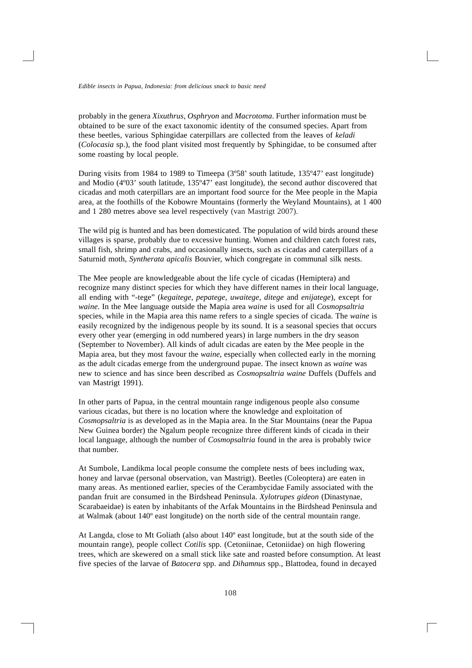*Edible insects in Papua, Indonesia: from delicious snack to basic need*

probably in the genera *Xixuthrus*, *Osphryon* and *Macrotoma*. Further information must be obtained to be sure of the exact taxonomic identity of the consumed species. Apart from these beetles, various Sphingidae caterpillars are collected from the leaves of *keladi* (*Colocasia* sp.), the food plant visited most frequently by Sphingidae, to be consumed after some roasting by local people.

During visits from 1984 to 1989 to Timeepa (3º58' south latitude, 135º47' east longitude) and Modio (4º03' south latitude, 135º47' east longitude), the second author discovered that cicadas and moth caterpillars are an important food source for the Mee people in the Mapia area, at the foothills of the Kobowre Mountains (formerly the Weyland Mountains), at 1 400 and 1 280 metres above sea level respectively (van Mastrigt 2007).

The wild pig is hunted and has been domesticated. The population of wild birds around these villages is sparse, probably due to excessive hunting. Women and children catch forest rats, small fish, shrimp and crabs, and occasionally insects, such as cicadas and caterpillars of a Saturnid moth, *Syntherata apicalis* Bouvier, which congregate in communal silk nests.

The Mee people are knowledgeable about the life cycle of cicadas (Hemiptera) and recognize many distinct species for which they have different names in their local language, all ending with "-tege" (*kegaitege*, *pepatege*, *uwaitege*, *ditege* and *enijatege*), except for *waine*. In the Mee language outside the Mapia area *waine* is used for all *Cosmopsaltria* species, while in the Mapia area this name refers to a single species of cicada. The *waine* is easily recognized by the indigenous people by its sound. It is a seasonal species that occurs every other year (emerging in odd numbered years) in large numbers in the dry season (September to November). All kinds of adult cicadas are eaten by the Mee people in the Mapia area, but they most favour the *waine*, especially when collected early in the morning as the adult cicadas emerge from the underground pupae. The insect known as *waine* was new to science and has since been described as *Cosmopsaltria waine* Duffels (Duffels and van Mastrigt 1991).

In other parts of Papua, in the central mountain range indigenous people also consume various cicadas, but there is no location where the knowledge and exploitation of *Cosmopsaltria* is as developed as in the Mapia area. In the Star Mountains (near the Papua New Guinea border) the Ngalum people recognize three different kinds of cicada in their local language, although the number of *Cosmopsaltria* found in the area is probably twice that number.

At Sumbole, Landikma local people consume the complete nests of bees including wax, honey and larvae (personal observation, van Mastrigt). Beetles (Coleoptera) are eaten in many areas. As mentioned earlier, species of the Cerambycidae Family associated with the pandan fruit are consumed in the Birdshead Peninsula. *Xylotrupes gideon* (Dinastynae, Scarabaeidae) is eaten by inhabitants of the Arfak Mountains in the Birdshead Peninsula and at Walmak (about 140º east longitude) on the north side of the central mountain range.

At Langda, close to Mt Goliath (also about 140º east longitude, but at the south side of the mountain range), people collect *Cotilis* spp. (Cetoniinae, Cetoniidae) on high flowering trees, which are skewered on a small stick like sate and roasted before consumption. At least five species of the larvae of *Batocera* spp. and *Dihamnus* spp., Blattodea, found in decayed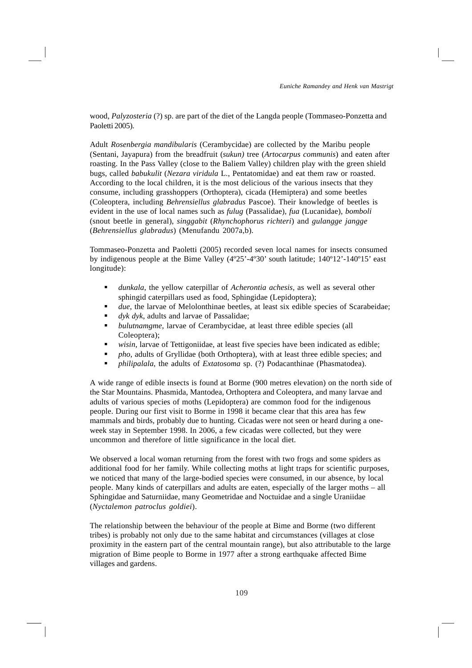wood, *Palyzosteria* (?) sp. are part of the diet of the Langda people (Tommaseo-Ponzetta and Paoletti 2005).

Adult *Rosenbergia mandibularis* (Cerambycidae) are collected by the Maribu people (Sentani, Jayapura) from the breadfruit (*sukun)* tree (*Artocarpus communis*) and eaten after roasting. In the Pass Valley (close to the Baliem Valley) children play with the green shield bugs, called *babukulit* (*Nezara viridula* L., Pentatomidae) and eat them raw or roasted. According to the local children, it is the most delicious of the various insects that they consume, including grasshoppers (Orthoptera), cicada (Hemiptera) and some beetles (Coleoptera, including *Behrensiellus glabradus* Pascoe). Their knowledge of beetles is evident in the use of local names such as *fulug* (Passalidae), *fua* (Lucanidae), *bomboli* (snout beetle in general), *singgabit* (*Rhynchophorus richteri*) and *gulangge jangge* (*Behrensiellus glabradus*) (Menufandu 2007a,b).

Tommaseo-Ponzetta and Paoletti (2005) recorded seven local names for insects consumed by indigenous people at the Bime Valley (4º25'-4º30' south latitude; 140º12'-140º15' east longitude):

- *dunkala*, the yellow caterpillar of *Acherontia achesis,* as well as several other sphingid caterpillars used as food, Sphingidae (Lepidoptera);
- *due*, the larvae of Melolonthinae beetles, at least six edible species of Scarabeidae;
- *dyk dyk*, adults and larvae of Passalidae;
- *bulutnamgme*, larvae of Cerambycidae, at least three edible species (all Coleoptera);
- *wisin*, larvae of Tettigoniidae, at least five species have been indicated as edible;
- *pho*, adults of Gryllidae (both Orthoptera), with at least three edible species; and
- *philipalala*, the adults of *Extatosoma* sp. (?) Podacanthinae (Phasmatodea).

A wide range of edible insects is found at Borme (900 metres elevation) on the north side of the Star Mountains. Phasmida, Mantodea, Orthoptera and Coleoptera, and many larvae and adults of various species of moths (Lepidoptera) are common food for the indigenous people. During our first visit to Borme in 1998 it became clear that this area has few mammals and birds, probably due to hunting. Cicadas were not seen or heard during a oneweek stay in September 1998. In 2006, a few cicadas were collected, but they were uncommon and therefore of little significance in the local diet.

We observed a local woman returning from the forest with two frogs and some spiders as additional food for her family. While collecting moths at light traps for scientific purposes, we noticed that many of the large-bodied species were consumed, in our absence, by local people. Many kinds of caterpillars and adults are eaten, especially of the larger moths – all Sphingidae and Saturniidae, many Geometridae and Noctuidae and a single Uraniidae (*Nyctalemon patroclus goldiei*).

The relationship between the behaviour of the people at Bime and Borme (two different tribes) is probably not only due to the same habitat and circumstances (villages at close proximity in the eastern part of the central mountain range), but also attributable to the large migration of Bime people to Borme in 1977 after a strong earthquake affected Bime villages and gardens.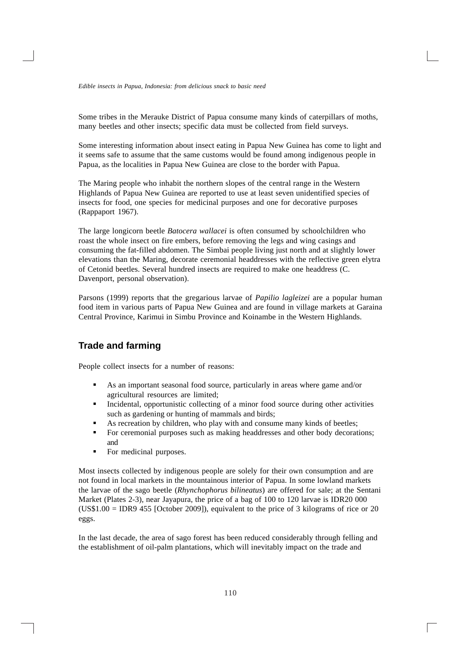*Edible insects in Papua, Indonesia: from delicious snack to basic need*

Some tribes in the Merauke District of Papua consume many kinds of caterpillars of moths, many beetles and other insects; specific data must be collected from field surveys.

Some interesting information about insect eating in Papua New Guinea has come to light and it seems safe to assume that the same customs would be found among indigenous people in Papua, as the localities in Papua New Guinea are close to the border with Papua.

The Maring people who inhabit the northern slopes of the central range in the Western Highlands of Papua New Guinea are reported to use at least seven unidentified species of insects for food, one species for medicinal purposes and one for decorative purposes (Rappaport 1967).

The large longicorn beetle *Batocera wallacei* is often consumed by schoolchildren who roast the whole insect on fire embers, before removing the legs and wing casings and consuming the fat-filled abdomen. The Simbai people living just north and at slightly lower elevations than the Maring, decorate ceremonial headdresses with the reflective green elytra of Cetonid beetles. Several hundred insects are required to make one headdress (C. Davenport, personal observation).

Parsons (1999) reports that the gregarious larvae of *Papilio lagleizei* are a popular human food item in various parts of Papua New Guinea and are found in village markets at Garaina Central Province, Karimui in Simbu Province and Koinambe in the Western Highlands.

### **Trade and farming**

People collect insects for a number of reasons:

- As an important seasonal food source, particularly in areas where game and/or agricultural resources are limited;
- Incidental, opportunistic collecting of a minor food source during other activities such as gardening or hunting of mammals and birds;
- As recreation by children, who play with and consume many kinds of beetles;
- For ceremonial purposes such as making headdresses and other body decorations; and
- For medicinal purposes.

Most insects collected by indigenous people are solely for their own consumption and are not found in local markets in the mountainous interior of Papua. In some lowland markets the larvae of the sago beetle (*Rhynchophorus bilineatus*) are offered for sale; at the Sentani Market (Plates 2-3), near Jayapura, the price of a bag of 100 to 120 larvae is IDR20 000 (US\$1.00 = IDR9 455 [October 2009]), equivalent to the price of 3 kilograms of rice or 20 eggs.

In the last decade, the area of sago forest has been reduced considerably through felling and the establishment of oil-palm plantations, which will inevitably impact on the trade and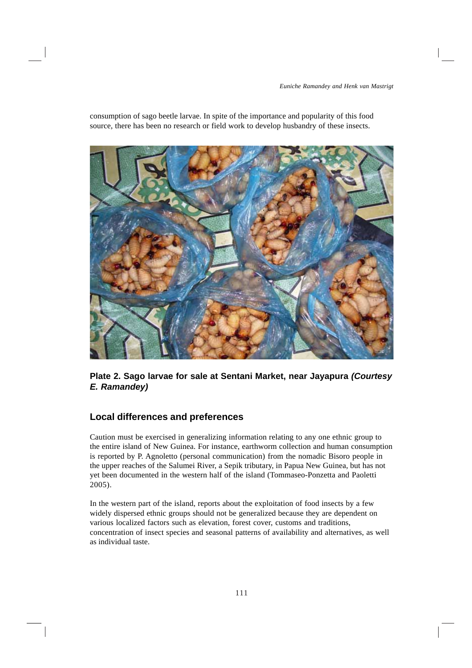consumption of sago beetle larvae. In spite of the importance and popularity of this food source, there has been no research or field work to develop husbandry of these insects.



**Plate 2. Sago larvae for sale at Sentani Market, near Jayapura** *(Courtesy E. Ramandey)*

#### **Local differences and preferences**

Caution must be exercised in generalizing information relating to any one ethnic group to the entire island of New Guinea. For instance, earthworm collection and human consumption is reported by P. Agnoletto (personal communication) from the nomadic Bisoro people in the upper reaches of the Salumei River, a Sepik tributary, in Papua New Guinea, but has not yet been documented in the western half of the island (Tommaseo-Ponzetta and Paoletti 2005).

In the western part of the island, reports about the exploitation of food insects by a few widely dispersed ethnic groups should not be generalized because they are dependent on various localized factors such as elevation, forest cover, customs and traditions, concentration of insect species and seasonal patterns of availability and alternatives, as well as individual taste.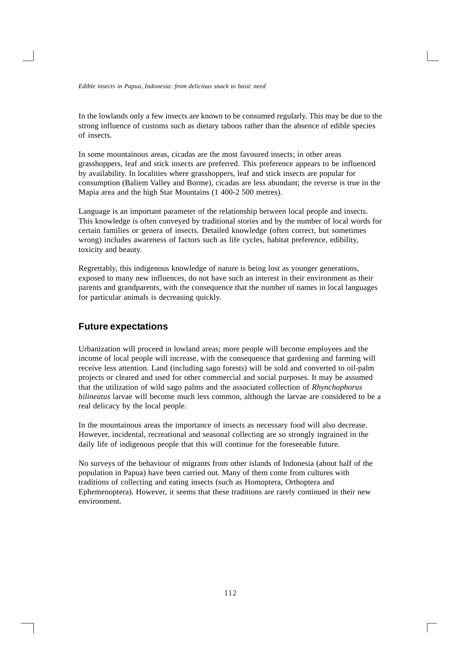*Edible insects in Papua, Indonesia: from delicious snack to basic need*

In the lowlands only a few insects are known to be consumed regularly. This may be due to the strong influence of customs such as dietary taboos rather than the absence of edible species of insects.

In some mountainous areas, cicadas are the most favoured insects; in other areas grasshoppers, leaf and stick insects are preferred. This preference appears to be influenced by availability. In localities where grasshoppers, leaf and stick insects are popular for consumption (Baliem Valley and Borme), cicadas are less abundant; the reverse is true in the Mapia area and the high Star Mountains (1 400-2 500 metres).

Language is an important parameter of the relationship between local people and insects. This knowledge is often conveyed by traditional stories and by the number of local words for certain families or genera of insects. Detailed knowledge (often correct, but sometimes wrong) includes awareness of factors such as life cycles, habitat preference, edibility, toxicity and beauty.

Regrettably, this indigenous knowledge of nature is being lost as younger generations, exposed to many new influences, do not have such an interest in their environment as their parents and grandparents, with the consequence that the number of names in local languages for particular animals is decreasing quickly.

## **Future expectations**

Urbanization will proceed in lowland areas; more people will become employees and the income of local people will increase, with the consequence that gardening and farming will receive less attention. Land (including sago forests) will be sold and converted to oil-palm projects or cleared and used for other commercial and social purposes. It may be assumed that the utilization of wild sago palms and the associated collection of *Rhynchophorus bilineatus* larvae will become much less common, although the larvae are considered to be a real delicacy by the local people.

In the mountainous areas the importance of insects as necessary food will also decrease. However, incidental, recreational and seasonal collecting are so strongly ingrained in the daily life of indigenous people that this will continue for the foreseeable future.

No surveys of the behaviour of migrants from other islands of Indonesia (about half of the population in Papua) have been carried out. Many of them come from cultures with traditions of collecting and eating insects (such as Homoptera, Orthoptera and Ephemenoptera). However, it seems that these traditions are rarely continued in their new environment.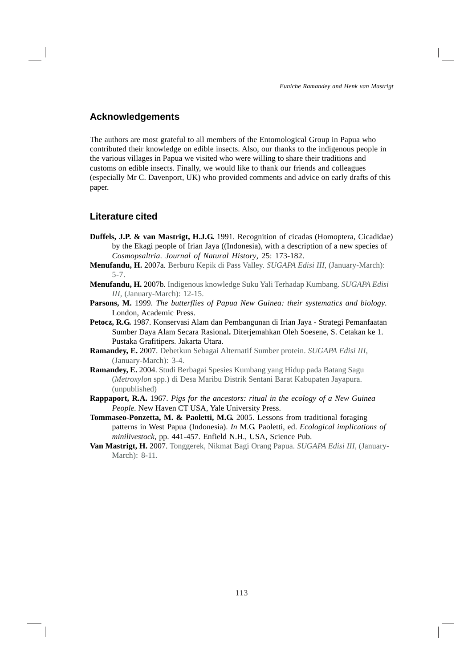#### **Acknowledgements**

The authors are most grateful to all members of the Entomological Group in Papua who contributed their knowledge on edible insects. Also, our thanks to the indigenous people in the various villages in Papua we visited who were willing to share their traditions and customs on edible insects. Finally, we would like to thank our friends and colleagues (especially Mr C. Davenport, UK) who provided comments and advice on early drafts of this paper.

#### **Literature cited**

- **Duffels, J.P. & van Mastrigt, H.J.G.** 1991. Recognition of cicadas (Homoptera, Cicadidae) by the Ekagi people of Irian Jaya ((Indonesia), with a description of a new species of *Cosmopsaltria*. *Journal of Natural History*, 25: 173-182.
- **Menufandu, H.** 2007a. Berburu Kepik di Pass Valley. *SUGAPA Edisi III,* (January-March): 5-7.
- **Menufandu, H.** 2007b. Indigenous knowledge Suku Yali Terhadap Kumbang. *SUGAPA Edisi III,* (January-March): 12-15.
- **Parsons, M.** 1999. *The butterflies of Papua New Guinea: their systematics and biology*. London, Academic Press.
- **Petocz, R.G.** 1987. Konservasi Alam dan Pembangunan di Irian Jaya Strategi Pemanfaatan Sumber Daya Alam Secara Rasional**.** Diterjemahkan Oleh Soesene, S. Cetakan ke 1. Pustaka Grafitipers. Jakarta Utara.
- **Ramandey, E.** 2007. Debetkun Sebagai Alternatif Sumber protein. *SUGAPA Edisi III,* (January-March): 3-4.
- **Ramandey, E.** 2004. Studi Berbagai Spesies Kumbang yang Hidup pada Batang Sagu (*Metroxylon* spp.) di Desa Maribu Distrik Sentani Barat Kabupaten Jayapura. (unpublished)
- **Rappaport, R.A.** 1967. *Pigs for the ancestors: ritual in the ecology of a New Guinea People.* New Haven CT USA, Yale University Press.
- **Tommaseo-Ponzetta, M. & Paoletti, M.G.** 2005. Lessons from traditional foraging patterns in West Papua (Indonesia). *In* M.G. Paoletti, ed. *Ecological implications of minilivestock,* pp. 441-457. Enfield N.H., USA, Science Pub.
- **Van Mastrigt, H.** 2007. Tonggerek, Nikmat Bagi Orang Papua. *SUGAPA Edisi III,* (January-March): 8-11.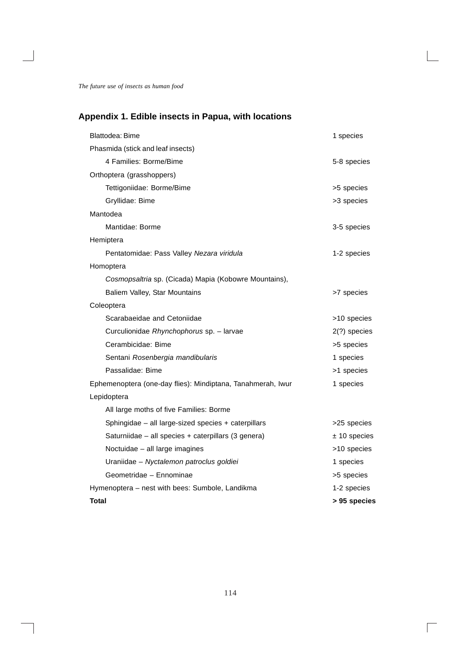*The future use of insects as human food*

## **Appendix 1. Edible insects in Papua, with locations**

| Blattodea: Bime                                             | 1 species      |
|-------------------------------------------------------------|----------------|
| Phasmida (stick and leaf insects)                           |                |
| 4 Families: Borme/Bime                                      | 5-8 species    |
| Orthoptera (grasshoppers)                                   |                |
| Tettigoniidae: Borme/Bime                                   | >5 species     |
| Gryllidae: Bime                                             | >3 species     |
| Mantodea                                                    |                |
| Mantidae: Borme                                             | 3-5 species    |
| Hemiptera                                                   |                |
| Pentatomidae: Pass Valley Nezara viridula                   | 1-2 species    |
| Homoptera                                                   |                |
| Cosmopsaltria sp. (Cicada) Mapia (Kobowre Mountains),       |                |
| Baliem Valley, Star Mountains                               | >7 species     |
| Coleoptera                                                  |                |
| Scarabaeidae and Cetoniidae                                 | >10 species    |
| Curculionidae Rhynchophorus sp. - larvae                    | 2(?) species   |
| Cerambicidae: Bime                                          | >5 species     |
| Sentani Rosenbergia mandibularis                            | 1 species      |
| Passalidae: Bime                                            | >1 species     |
| Ephemenoptera (one-day flies): Mindiptana, Tanahmerah, Iwur | 1 species      |
| Lepidoptera                                                 |                |
| All large moths of five Families: Borme                     |                |
| Sphingidae - all large-sized species + caterpillars         | >25 species    |
| Saturniidae - all species + caterpillars (3 genera)         | $± 10$ species |
| Noctuidae - all large imagines                              | >10 species    |
| Uraniidae - Nyctalemon patroclus goldiei                    | 1 species      |
| Geometridae - Ennominae                                     | >5 species     |
| Hymenoptera - nest with bees: Sumbole, Landikma             | 1-2 species    |
| Total                                                       | > 95 species   |

 $\Box$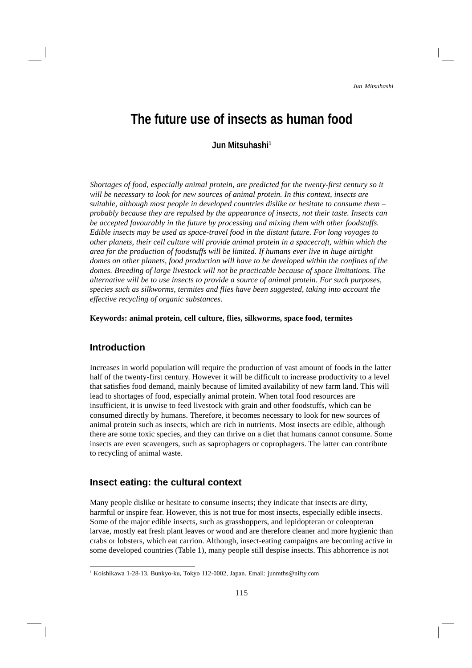*Jun Mitsuhashi*

# **The future use of insects as human food**

#### **Jun Mitsuhashi1**

*Shortages of food, especially animal protein, are predicted for the twenty-first century so it will be necessary to look for new sources of animal protein. In this context, insects are suitable, although most people in developed countries dislike or hesitate to consume them – probably because they are repulsed by the appearance of insects, not their taste. Insects can be accepted favourably in the future by processing and mixing them with other foodstuffs. Edible insects may be used as space-travel food in the distant future. For long voyages to other planets, their cell culture will provide animal protein in a spacecraft, within which the area for the production of foodstuffs will be limited. If humans ever live in huge airtight domes on other planets, food production will have to be developed within the confines of the domes. Breeding of large livestock will not be practicable because of space limitations. The alternative will be to use insects to provide a source of animal protein. For such purposes, species such as silkworms, termites and flies have been suggested, taking into account the effective recycling of organic substances.*

**Keywords: animal protein, cell culture, flies, silkworms, space food, termites**

## **Introduction**

Increases in world population will require the production of vast amount of foods in the latter half of the twenty-first century. However it will be difficult to increase productivity to a level that satisfies food demand, mainly because of limited availability of new farm land. This will lead to shortages of food, especially animal protein. When total food resources are insufficient, it is unwise to feed livestock with grain and other foodstuffs, which can be consumed directly by humans. Therefore, it becomes necessary to look for new sources of animal protein such as insects, which are rich in nutrients. Most insects are edible, although there are some toxic species, and they can thrive on a diet that humans cannot consume. Some insects are even scavengers, such as saprophagers or coprophagers. The latter can contribute to recycling of animal waste.

#### **Insect eating: the cultural context**

Many people dislike or hesitate to consume insects; they indicate that insects are dirty, harmful or inspire fear. However, this is not true for most insects, especially edible insects. Some of the major edible insects, such as grasshoppers, and lepidopteran or coleopteran larvae, mostly eat fresh plant leaves or wood and are therefore cleaner and more hygienic than crabs or lobsters, which eat carrion. Although, insect-eating campaigns are becoming active in some developed countries (Table 1), many people still despise insects. This abhorrence is not

<sup>1</sup> Koishikawa 1-28-13, Bunkyo-ku, Tokyo 112-0002, Japan. Email: junmths@nifty.com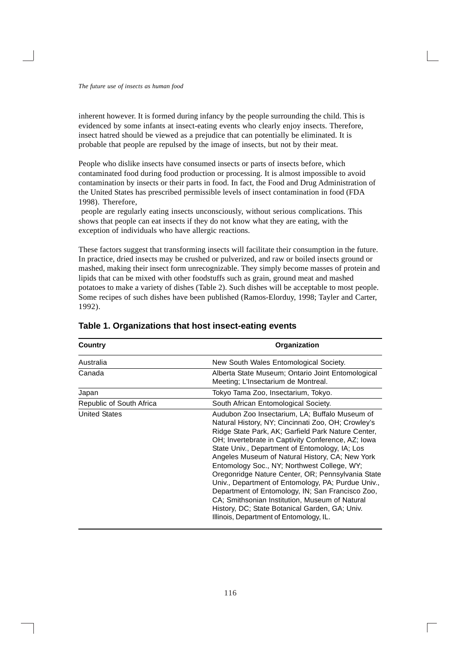#### *The future use of insects as human food*

inherent however. It is formed during infancy by the people surrounding the child. This is evidenced by some infants at insect-eating events who clearly enjoy insects. Therefore, insect hatred should be viewed as a prejudice that can potentially be eliminated. It is probable that people are repulsed by the image of insects, but not by their meat.

People who dislike insects have consumed insects or parts of insects before, which contaminated food during food production or processing. It is almost impossible to avoid contamination by insects or their parts in food. In fact, the Food and Drug Administration of the United States has prescribed permissible levels of insect contamination in food (FDA 1998). Therefore,

 people are regularly eating insects unconsciously, without serious complications. This shows that people can eat insects if they do not know what they are eating, with the exception of individuals who have allergic reactions.

These factors suggest that transforming insects will facilitate their consumption in the future. In practice, dried insects may be crushed or pulverized, and raw or boiled insects ground or mashed, making their insect form unrecognizable. They simply become masses of protein and lipids that can be mixed with other foodstuffs such as grain, ground meat and mashed potatoes to make a variety of dishes (Table 2). Such dishes will be acceptable to most people. Some recipes of such dishes have been published (Ramos-Elorduy, 1998; Tayler and Carter, 1992).

| Country                  | Organization                                                                                                                                                                                                                                                                                                                                                                                                                                                                                                                                                                                                                                                                       |
|--------------------------|------------------------------------------------------------------------------------------------------------------------------------------------------------------------------------------------------------------------------------------------------------------------------------------------------------------------------------------------------------------------------------------------------------------------------------------------------------------------------------------------------------------------------------------------------------------------------------------------------------------------------------------------------------------------------------|
| Australia                | New South Wales Entomological Society.                                                                                                                                                                                                                                                                                                                                                                                                                                                                                                                                                                                                                                             |
| Canada                   | Alberta State Museum; Ontario Joint Entomological<br>Meeting: L'Insectarium de Montreal.                                                                                                                                                                                                                                                                                                                                                                                                                                                                                                                                                                                           |
| Japan                    | Tokyo Tama Zoo, Insectarium, Tokyo.                                                                                                                                                                                                                                                                                                                                                                                                                                                                                                                                                                                                                                                |
| Republic of South Africa | South African Entomological Society.                                                                                                                                                                                                                                                                                                                                                                                                                                                                                                                                                                                                                                               |
| <b>United States</b>     | Audubon Zoo Insectarium, LA; Buffalo Museum of<br>Natural History, NY; Cincinnati Zoo, OH; Crowley's<br>Ridge State Park, AK; Garfield Park Nature Center,<br>OH; Invertebrate in Captivity Conference, AZ; Iowa<br>State Univ., Department of Entomology, IA; Los<br>Angeles Museum of Natural History, CA; New York<br>Entomology Soc., NY; Northwest College, WY;<br>Oregonridge Nature Center, OR; Pennsylvania State<br>Univ., Department of Entomology, PA; Purdue Univ.,<br>Department of Entomology, IN; San Francisco Zoo,<br>CA; Smithsonian Institution, Museum of Natural<br>History, DC; State Botanical Garden, GA; Univ.<br>Illinois, Department of Entomology, IL. |

#### **Table 1. Organizations that host insect-eating events**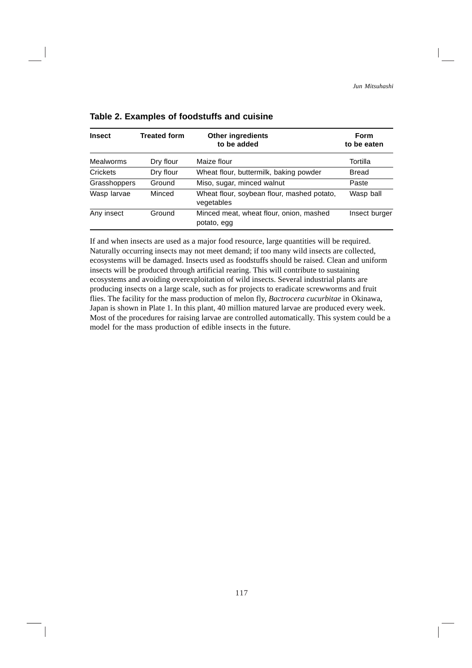| <b>Insect</b>    | <b>Treated form</b> | <b>Other ingredients</b><br>to be added                  | Form<br>to be eaten |
|------------------|---------------------|----------------------------------------------------------|---------------------|
| <b>Mealworms</b> | Dry flour           | Maize flour                                              | Tortilla            |
| Crickets         | Dry flour           | Wheat flour, buttermilk, baking powder                   | <b>Bread</b>        |
| Grasshoppers     | Ground              | Miso, sugar, minced walnut                               | Paste               |
| Wasp larvae      | Minced              | Wheat flour, soybean flour, mashed potato,<br>vegetables | Wasp ball           |
| Any insect       | Ground              | Minced meat, wheat flour, onion, mashed<br>potato, egg   | Insect burger       |

#### **Table 2. Examples of foodstuffs and cuisine**

If and when insects are used as a major food resource, large quantities will be required. Naturally occurring insects may not meet demand; if too many wild insects are collected, ecosystems will be damaged. Insects used as foodstuffs should be raised. Clean and uniform insects will be produced through artificial rearing. This will contribute to sustaining ecosystems and avoiding overexploitation of wild insects. Several industrial plants are producing insects on a large scale, such as for projects to eradicate screwworms and fruit flies. The facility for the mass production of melon fly, *Bactrocera cucurbitae* in Okinawa, Japan is shown in Plate 1. In this plant, 40 million matured larvae are produced every week. Most of the procedures for raising larvae are controlled automatically. This system could be a model for the mass production of edible insects in the future.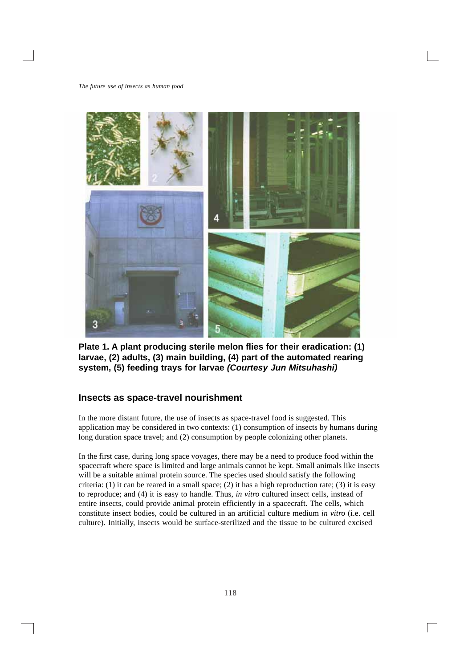

**Plate 1. A plant producing sterile melon flies for their eradication: (1) larvae, (2) adults, (3) main building, (4) part of the automated rearing system, (5) feeding trays for larvae** *(Courtesy Jun Mitsuhashi)*

## **Insects as space-travel nourishment**

In the more distant future, the use of insects as space-travel food is suggested. This application may be considered in two contexts: (1) consumption of insects by humans during long duration space travel; and (2) consumption by people colonizing other planets.

In the first case, during long space voyages, there may be a need to produce food within the spacecraft where space is limited and large animals cannot be kept. Small animals like insects will be a suitable animal protein source. The species used should satisfy the following criteria:  $(1)$  it can be reared in a small space;  $(2)$  it has a high reproduction rate;  $(3)$  it is easy to reproduce; and (4) it is easy to handle. Thus, *in vitro* cultured insect cells, instead of entire insects, could provide animal protein efficiently in a spacecraft. The cells, which constitute insect bodies, could be cultured in an artificial culture medium *in vitro* (i.e. cell culture). Initially, insects would be surface-sterilized and the tissue to be cultured excised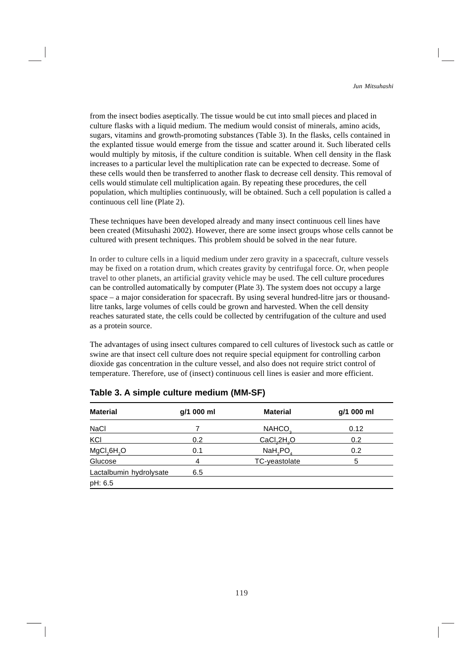from the insect bodies aseptically. The tissue would be cut into small pieces and placed in culture flasks with a liquid medium. The medium would consist of minerals, amino acids, sugars, vitamins and growth-promoting substances (Table 3). In the flasks, cells contained in the explanted tissue would emerge from the tissue and scatter around it. Such liberated cells would multiply by mitosis, if the culture condition is suitable. When cell density in the flask increases to a particular level the multiplication rate can be expected to decrease. Some of these cells would then be transferred to another flask to decrease cell density. This removal of cells would stimulate cell multiplication again. By repeating these procedures, the cell population, which multiplies continuously, will be obtained. Such a cell population is called a continuous cell line (Plate 2).

These techniques have been developed already and many insect continuous cell lines have been created (Mitsuhashi 2002). However, there are some insect groups whose cells cannot be cultured with present techniques. This problem should be solved in the near future.

In order to culture cells in a liquid medium under zero gravity in a spacecraft, culture vessels may be fixed on a rotation drum, which creates gravity by centrifugal force. Or, when people travel to other planets, an artificial gravity vehicle may be used. The cell culture procedures can be controlled automatically by computer (Plate 3). The system does not occupy a large space – a major consideration for spacecraft. By using several hundred-litre jars or thousandlitre tanks, large volumes of cells could be grown and harvested. When the cell density reaches saturated state, the cells could be collected by centrifugation of the culture and used as a protein source.

The advantages of using insect cultures compared to cell cultures of livestock such as cattle or swine are that insect cell culture does not require special equipment for controlling carbon dioxide gas concentration in the culture vessel, and also does not require strict control of temperature. Therefore, use of (insect) continuous cell lines is easier and more efficient.

| <b>Material</b>                     | q/1 000 ml | <b>Material</b>                    | g/1 000 ml |
|-------------------------------------|------------|------------------------------------|------------|
| <b>NaCl</b>                         |            | NAHCO <sub>3</sub>                 | 0.12       |
| KCI                                 | 0.2        | CaCl <sub>2</sub> H <sub>2</sub> O | 0.2        |
| MgCl <sub>2</sub> 6H <sub>2</sub> O | 0.1        | NaH <sub>2</sub> PO                | 0.2        |
| Glucose                             | 4          | TC-yeastolate                      | 5          |
| Lactalbumin hydrolysate             | 6.5        |                                    |            |
| pH: 6.5                             |            |                                    |            |

#### **Table 3. A simple culture medium (MM-SF)**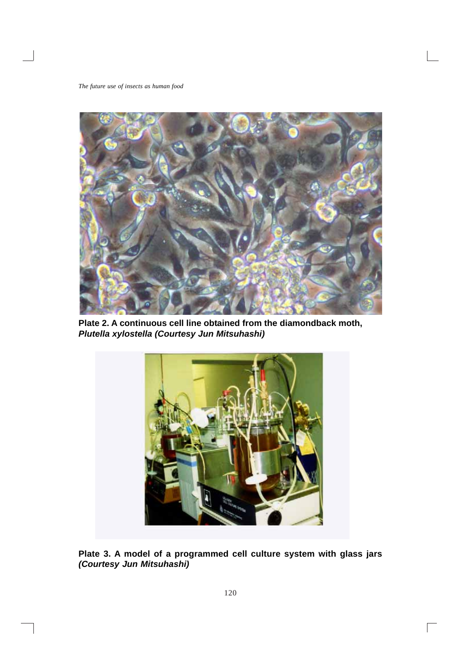*The future use of insects as human food*



**Plate 2. A continuous cell line obtained from the diamondback moth,** *Plutella xylostella (Courtesy Jun Mitsuhashi)*



**Plate 3. A model of a programmed cell culture system with glass jars** *(Courtesy Jun Mitsuhashi)*

 $\mathbb{R}$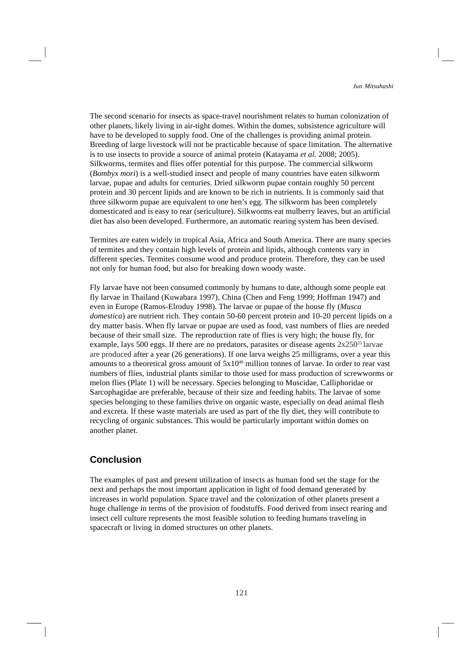*Jun Mitsuhashi*

The second scenario for insects as space-travel nourishment relates to human colonization of other planets, likely living in air-tight domes. Within the domes, subsistence agriculture will have to be developed to supply food. One of the challenges is providing animal protein. Breeding of large livestock will not be practicable because of space limitation. The alternative is to use insects to provide a source of animal protein (Katayama *et al.* 2008; 2005). Silkworms, termites and flies offer potential for this purpose. The commercial silkworm (*Bombyx mori*) is a well-studied insect and people of many countries have eaten silkworm larvae, pupae and adults for centuries. Dried silkworm pupae contain roughly 50 percent protein and 30 percent lipids and are known to be rich in nutrients. It is commonly said that three silkworm pupae are equivalent to one hen's egg. The silkworm has been completely domesticated and is easy to rear (sericulture). Silkworms eat mulberry leaves, but an artificial diet has also been developed. Furthermore, an automatic rearing system has been devised.

Termites are eaten widely in tropical Asia, Africa and South America. There are many species of termites and they contain high levels of protein and lipids, although contents vary in different species. Termites consume wood and produce protein. Therefore, they can be used not only for human food, but also for breaking down woody waste.

Fly larvae have not been consumed commonly by humans to date, although some people eat fly larvae in Thailand (Kuwabara 1997), China (Chen and Feng 1999; Hoffman 1947) and even in Europe (Ramos-Elroduy 1998). The larvae or pupae of the house fly (*Musca domestica*) are nutrient rich. They contain 50-60 percent protein and 10-20 percent lipids on a dry matter basis. When fly larvae or pupae are used as food, vast numbers of flies are needed because of their small size. The reproduction rate of flies is very high; the house fly, for example, lays 500 eggs. If there are no predators, parasites or disease agents  $2x250^{25}$  larvae are produced after a year (26 generations). If one larva weighs 25 milligrams, over a year this amounts to a theoretical gross amount of  $5x10^{46}$  million tonnes of larvae. In order to rear vast numbers of flies, industrial plants similar to those used for mass production of screwworms or melon flies (Plate 1) will be necessary. Species belonging to Muscidae, Calliphoridae or Sarcophagidae are preferable, because of their size and feeding habits. The larvae of some species belonging to these families thrive on organic waste, especially on dead animal flesh and excreta. If these waste materials are used as part of the fly diet, they will contribute to recycling of organic substances. This would be particularly important within domes on another planet.

## **Conclusion**

The examples of past and present utilization of insects as human food set the stage for the next and perhaps the most important application in light of food demand generated by increases in world population. Space travel and the colonization of other planets present a huge challenge in terms of the provision of foodstuffs. Food derived from insect rearing and insect cell culture represents the most feasible solution to feeding humans traveling in spacecraft or living in domed structures on other planets.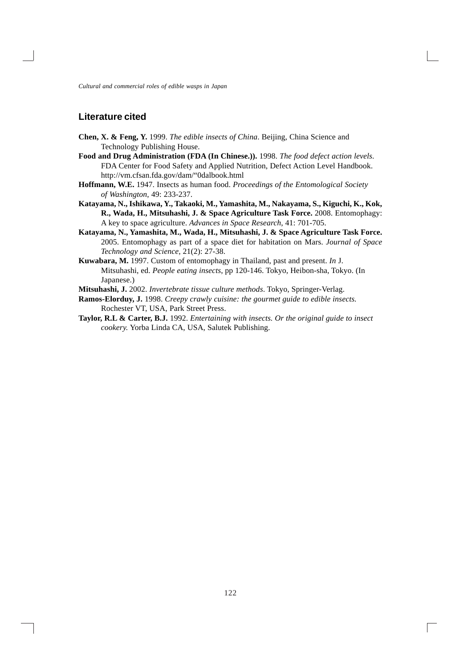## **Literature cited**

- **Chen, X. & Feng, Y.** 1999. *The edible insects of China*. Beijing, China Science and Technology Publishing House.
- **Food and Drug Administration (FDA (In Chinese.)).** 1998. *The food defect action levels.* FDA Center for Food Safety and Applied Nutrition, Defect Action Level Handbook. http://vm.cfsan.fda.gov/dam/"0dalbook.html
- **Hoffmann, W.E.** 1947. Insects as human food. *Proceedings of the Entomological Society of Washington*, 49: 233-237.
- **Katayama, N., Ishikawa, Y., Takaoki, M., Yamashita, M., Nakayama, S., Kiguchi, K., Kok, R., Wada, H., Mitsuhashi, J. & Space Agriculture Task Force.** 2008. Entomophagy: A key to space agriculture. *Advances in Space Research*, 41: 701-705.
- **Katayama, N., Yamashita, M., Wada, H., Mitsuhashi, J. & Space Agriculture Task Force.** 2005. Entomophagy as part of a space diet for habitation on Mars. *Journal of Space Technology and Science*, 21(2): 27-38.
- **Kuwabara, M.** 1997. Custom of entomophagy in Thailand, past and present. *In* J. Mitsuhashi, ed. *People eating insects*, pp 120-146. Tokyo, Heibon-sha, Tokyo. (In Japanese.)

**Mitsuhashi, J.** 2002. *Invertebrate tissue culture methods*. Tokyo, Springer-Verlag.

- **Ramos-Elorduy, J.** 1998. *Creepy crawly cuisine: the gourmet guide to edible insects.* Rochester VT, USA, Park Street Press.
- **Taylor, R.L & Carter, B.J.** 1992. *Entertaining with insects. Or the original guide to insect cookery.* Yorba Linda CA, USA, Salutek Publishing.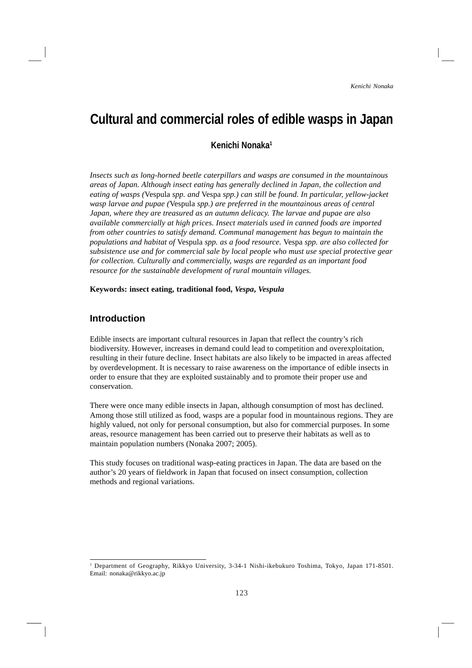## **Kenichi Nonaka1**

*Insects such as long-horned beetle caterpillars and wasps are consumed in the mountainous areas of Japan. Although insect eating has generally declined in Japan, the collection and eating of wasps (*Vespula *spp. and* Vespa *spp.) can still be found. In particular, yellow-jacket wasp larvae and pupae (*Vespula *spp.) are preferred in the mountainous areas of central Japan, where they are treasured as an autumn delicacy. The larvae and pupae are also available commercially at high prices. Insect materials used in canned foods are imported from other countries to satisfy demand. Communal management has begun to maintain the populations and habitat of* Vespula *spp. as a food resource.* Vespa *spp. are also collected for subsistence use and for commercial sale by local people who must use special protective gear for collection. Culturally and commercially, wasps are regarded as an important food resource for the sustainable development of rural mountain villages.*

#### **Keywords: insect eating, traditional food,** *Vespa***,** *Vespula*

#### **Introduction**

Edible insects are important cultural resources in Japan that reflect the country's rich biodiversity. However, increases in demand could lead to competition and overexploitation, resulting in their future decline. Insect habitats are also likely to be impacted in areas affected by overdevelopment. It is necessary to raise awareness on the importance of edible insects in order to ensure that they are exploited sustainably and to promote their proper use and conservation.

There were once many edible insects in Japan, although consumption of most has declined. Among those still utilized as food, wasps are a popular food in mountainous regions. They are highly valued, not only for personal consumption, but also for commercial purposes. In some areas, resource management has been carried out to preserve their habitats as well as to maintain population numbers (Nonaka 2007; 2005).

This study focuses on traditional wasp-eating practices in Japan. The data are based on the author's 20 years of fieldwork in Japan that focused on insect consumption, collection methods and regional variations.

<sup>1</sup> Department of Geography, Rikkyo University, 3-34-1 Nishi-ikebukuro Toshima, Tokyo, Japan 171-8501. Email: nonaka@rikkyo.ac.jp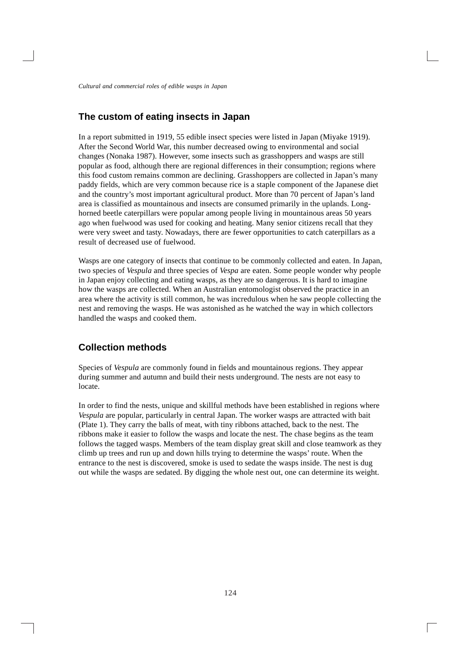## **The custom of eating insects in Japan**

In a report submitted in 1919, 55 edible insect species were listed in Japan (Miyake 1919). After the Second World War, this number decreased owing to environmental and social changes (Nonaka 1987). However, some insects such as grasshoppers and wasps are still popular as food, although there are regional differences in their consumption; regions where this food custom remains common are declining. Grasshoppers are collected in Japan's many paddy fields, which are very common because rice is a staple component of the Japanese diet and the country's most important agricultural product. More than 70 percent of Japan's land area is classified as mountainous and insects are consumed primarily in the uplands. Longhorned beetle caterpillars were popular among people living in mountainous areas 50 years ago when fuelwood was used for cooking and heating. Many senior citizens recall that they were very sweet and tasty. Nowadays, there are fewer opportunities to catch caterpillars as a result of decreased use of fuelwood.

Wasps are one category of insects that continue to be commonly collected and eaten. In Japan, two species of *Vespula* and three species of *Vespa* are eaten. Some people wonder why people in Japan enjoy collecting and eating wasps, as they are so dangerous. It is hard to imagine how the wasps are collected. When an Australian entomologist observed the practice in an area where the activity is still common, he was incredulous when he saw people collecting the nest and removing the wasps. He was astonished as he watched the way in which collectors handled the wasps and cooked them.

## **Collection methods**

Species of *Vespula* are commonly found in fields and mountainous regions. They appear during summer and autumn and build their nests underground. The nests are not easy to locate.

In order to find the nests, unique and skillful methods have been established in regions where *Vespula* are popular, particularly in central Japan. The worker wasps are attracted with bait (Plate 1). They carry the balls of meat, with tiny ribbons attached, back to the nest. The ribbons make it easier to follow the wasps and locate the nest. The chase begins as the team follows the tagged wasps. Members of the team display great skill and close teamwork as they climb up trees and run up and down hills trying to determine the wasps' route. When the entrance to the nest is discovered, smoke is used to sedate the wasps inside. The nest is dug out while the wasps are sedated. By digging the whole nest out, one can determine its weight.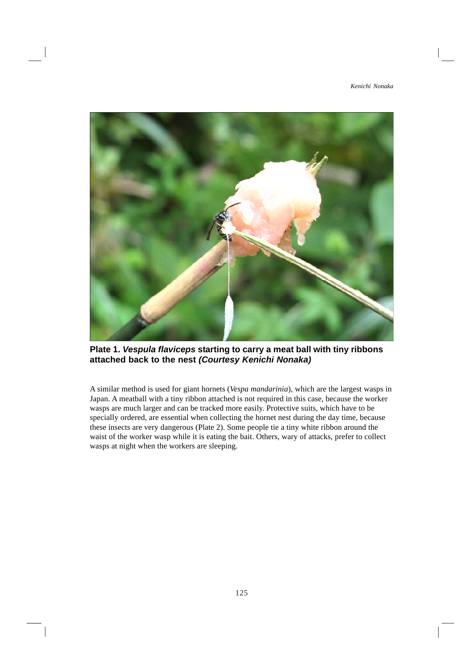#### *Kenichi Nonaka*



**Plate 1.** *Vespula flaviceps* **starting to carry a meat ball with tiny ribbons attached back to the nest** *(Courtesy Kenichi Nonaka)*

A similar method is used for giant hornets (*Vespa mandarinia*), which are the largest wasps in Japan. A meatball with a tiny ribbon attached is not required in this case, because the worker wasps are much larger and can be tracked more easily. Protective suits, which have to be specially ordered, are essential when collecting the hornet nest during the day time, because these insects are very dangerous (Plate 2). Some people tie a tiny white ribbon around the waist of the worker wasp while it is eating the bait. Others, wary of attacks, prefer to collect wasps at night when the workers are sleeping.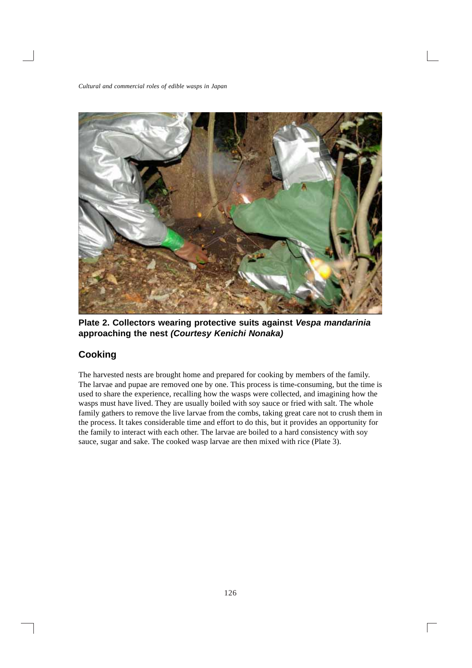

**Plate 2. Collectors wearing protective suits against** *Vespa mandarinia* **approaching the nest** *(Courtesy Kenichi Nonaka)*

## **Cooking**

The harvested nests are brought home and prepared for cooking by members of the family. The larvae and pupae are removed one by one. This process is time-consuming, but the time is used to share the experience, recalling how the wasps were collected, and imagining how the wasps must have lived. They are usually boiled with soy sauce or fried with salt. The whole family gathers to remove the live larvae from the combs, taking great care not to crush them in the process. It takes considerable time and effort to do this, but it provides an opportunity for the family to interact with each other. The larvae are boiled to a hard consistency with soy sauce, sugar and sake. The cooked wasp larvae are then mixed with rice (Plate 3).